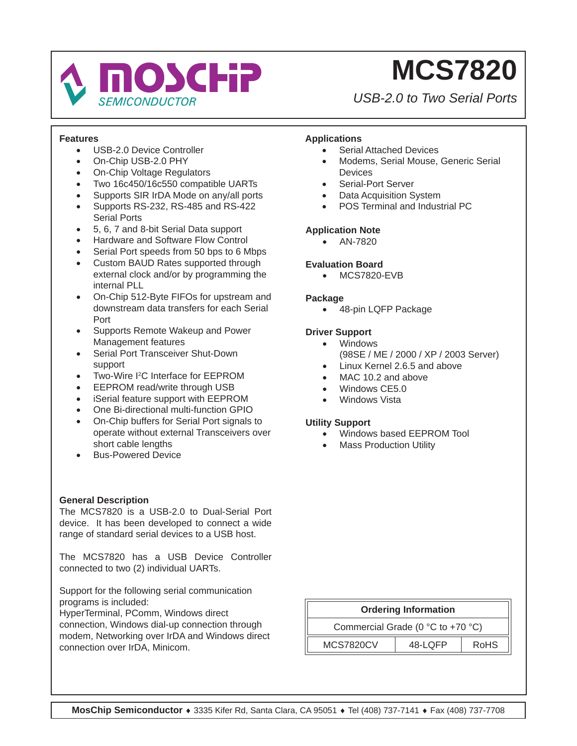

*USB-2.0 to Two Serial Ports*

### **Features**

- USB-2.0 Device Controller
- On-Chip USB-2.0 PHY
- On-Chip Voltage Regulators
- Two 16c450/16c550 compatible UARTs
- Supports SIR IrDA Mode on any/all ports
- Supports RS-232, RS-485 and RS-422 Serial Ports
- 5, 6, 7 and 8-bit Serial Data support
- Hardware and Software Flow Control
- Serial Port speeds from 50 bps to 6 Mbps
- Custom BAUD Rates supported through external clock and/or by programming the internal PLL
- On-Chip 512-Byte FIFOs for upstream and downstream data transfers for each Serial Port
- Supports Remote Wakeup and Power Management features
- Serial Port Transceiver Shut-Down support
- Two-Wire I<sup>2</sup>C Interface for EEPROM
- EEPROM read/write through USB
- iSerial feature support with EEPROM
- One Bi-directional multi-function GPIO
- On-Chip buffers for Serial Port signals to operate without external Transceivers over short cable lengths
- Bus-Powered Device

### **General Description**

The MCS7820 is a USB-2.0 to Dual-Serial Port device. It has been developed to connect a wide range of standard serial devices to a USB host.

The MCS7820 has a USB Device Controller connected to two (2) individual UARTs.

Support for the following serial communication programs is included:

HyperTerminal, PComm, Windows direct connection, Windows dial-up connection through modem, Networking over IrDA and Windows direct connection over IrDA, Minicom.

### **Applications**

- Serial Attached Devices
- Modems, Serial Mouse, Generic Serial **Devices**
- Serial-Port Server
- **Data Acquisition System**
- POS Terminal and Industrial PC

### **Application Note**

• AN-7820

#### **Evaluation Board**

• MCS7820-EVB

#### **Package**

• 48-pin LQFP Package

#### **Driver Support**

- Windows (98SE / ME / 2000 / XP / 2003 Server)
- Linux Kernel 2.6.5 and above
- MAC 10.2 and above
- Windows CE5.0
- Windows Vista

#### **Utility Support**

- Windows based EEPROM Tool
- **Mass Production Utility**

| <b>Ordering Information</b>                           |  |  |  |  |
|-------------------------------------------------------|--|--|--|--|
| Commercial Grade (0 $^{\circ}$ C to +70 $^{\circ}$ C) |  |  |  |  |
| <b>MCS7820CV</b><br>48-LOFP<br><b>RoHS</b>            |  |  |  |  |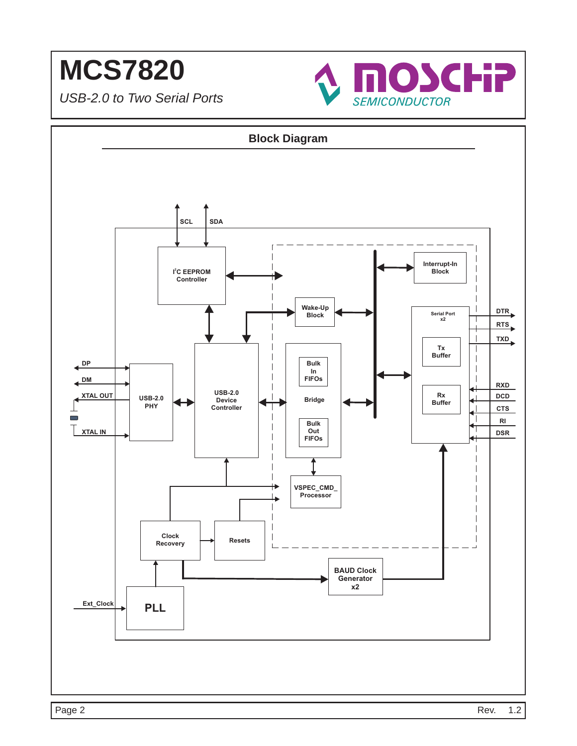

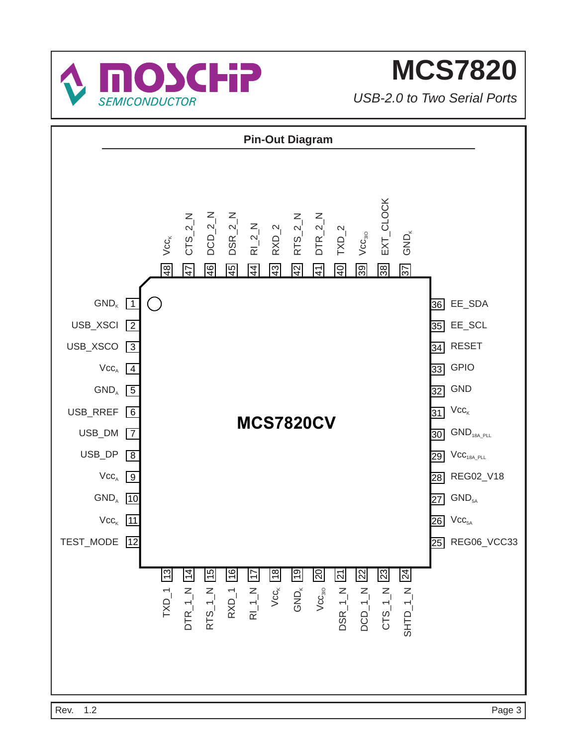

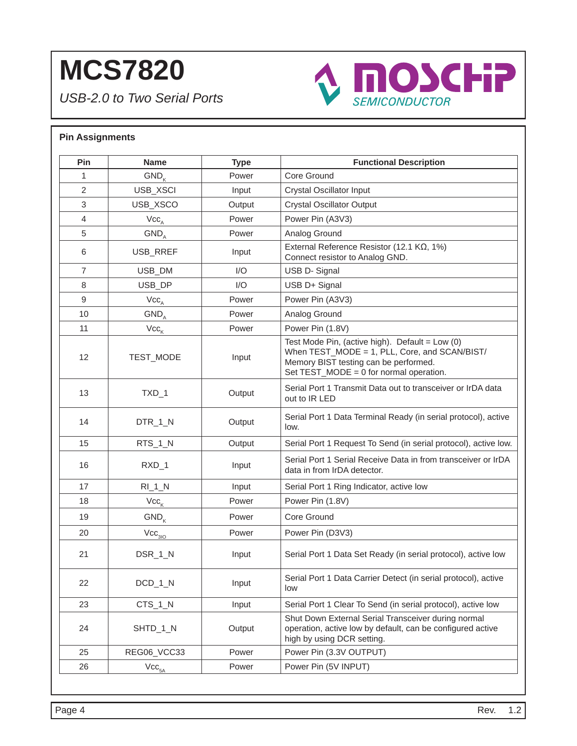*USB-2.0 to Two Serial Ports*



### **Pin Assignments Pin** | Name | Type | Functional Description 1 GND<sub>k</sub> Rower Core Ground 2 | USB XSCI | Input | Crystal Oscillator Input 3 | USB\_XSCO | Output | Crystal Oscillator Output 4 | Vcc<sub>a</sub> | Power | Power Pin (A3V3) 5 | GND<sub>A</sub> | Power | Analog Ground 6 USB\_RREF  $\vert$  Input  $\vert$  External Reference Resistor (12.1 KΩ, 1%) Connect resistor to Analog GND. 7 | USB\_DM | I/O | USB D- Signal 8 | USB\_DP | I/O | USB D+ Signal 9 VccA Power Power Pin (A3V3) 10 | GND<sub>A</sub> | Power | Analog Ground 11  $\vert$  Vcc<sub>k</sub>  $\vert$  Power Pin (1.8V) 12 | TEST\_MODE | Input Test Mode Pin, (active high). Default =  $Low(0)$ When TEST\_MODE = 1, PLL, Core, and SCAN/BIST/ Memory BIST testing can be performed. Set TEST\_MODE = 0 for normal operation. 13 TXD\_1 Output Serial Port 1 Transmit Data out to transceiver or IrDA data out to IR LED 14 DTR\_1\_N Output Serial Port 1 Data Terminal Ready (in serial protocol), active low. 15 | RTS\_1\_N | Output | Serial Port 1 Request To Send (in serial protocol), active low. 16 RXD\_1 Input Serial Port 1 Serial Receive Data in from transceiver or IrDA data in from IrDA detector. 17 | RI\_1\_N | Input | Serial Port 1 Ring Indicator, active low 18 | Vcc<sub>k</sub> | Power Pin (1.8V) 19 | GND<sub>k</sub> | Power | Core Ground 20  $\vert$  Vcc<sub>3IO</sub>  $\vert$  Power Pin (D3V3) 21 | DSR\_1\_N | Input | Serial Port 1 Data Set Ready (in serial protocol), active low 22 | DCD\_1\_N | Input | Serial Port 1 Data Carrier Detect (in serial protocol), active low 23 CTS\_1\_N | Input | Serial Port 1 Clear To Send (in serial protocol), active low 24 | SHTD\_1\_N | Output Shut Down External Serial Transceiver during normal operation, active low by default, can be configured active high by using DCR setting. 25 | REG06\_VCC33 | Power Pin (3.3V OUTPUT) 26  $\vert$  Vcc<sub>5A</sub>  $\vert$  Power  $\vert$  Power Pin (5V INPUT)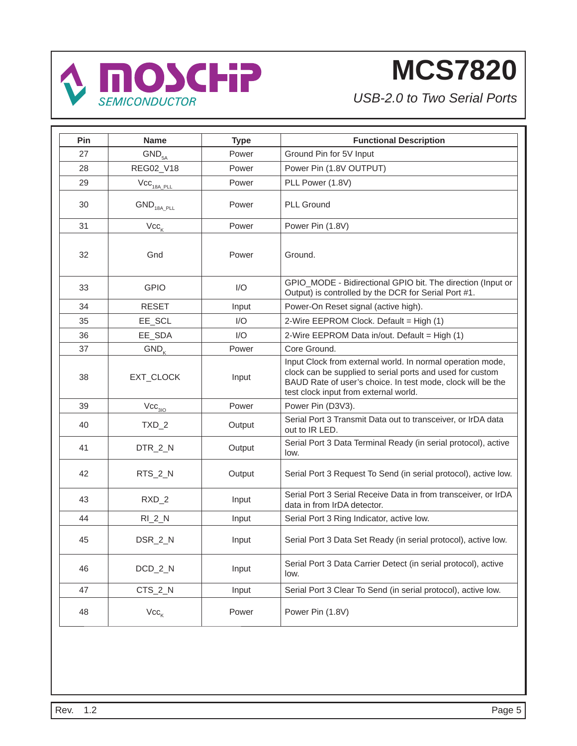

| Pin | <b>Name</b>                        | <b>Type</b> | <b>Functional Description</b>                                                                                                                                                                                                   |
|-----|------------------------------------|-------------|---------------------------------------------------------------------------------------------------------------------------------------------------------------------------------------------------------------------------------|
| 27  | GND <sub>5A</sub>                  | Power       | Ground Pin for 5V Input                                                                                                                                                                                                         |
| 28  | REG02_V18                          | Power       | Power Pin (1.8V OUTPUT)                                                                                                                                                                                                         |
| 29  | $\text{Vcc}_{\text{18A\_PLL}}$     | Power       | PLL Power (1.8V)                                                                                                                                                                                                                |
| 30  | $\mathsf{GND}_{\mathsf{18A\_PLL}}$ | Power       | <b>PLL Ground</b>                                                                                                                                                                                                               |
| 31  | $\mathsf{Vcc}_\mathsf{K}$          | Power       | Power Pin (1.8V)                                                                                                                                                                                                                |
| 32  | Gnd                                | Power       | Ground.                                                                                                                                                                                                                         |
| 33  | <b>GPIO</b>                        | I/O         | GPIO_MODE - Bidirectional GPIO bit. The direction (Input or<br>Output) is controlled by the DCR for Serial Port #1.                                                                                                             |
| 34  | <b>RESET</b>                       | Input       | Power-On Reset signal (active high).                                                                                                                                                                                            |
| 35  | EE_SCL                             | I/O         | 2-Wire EEPROM Clock. Default = High (1)                                                                                                                                                                                         |
| 36  | EE_SDA                             | I/O         | 2-Wire EEPROM Data in/out. Default = High (1)                                                                                                                                                                                   |
| 37  | $GND_{K}$                          | Power       | Core Ground.                                                                                                                                                                                                                    |
| 38  | EXT_CLOCK                          | Input       | Input Clock from external world. In normal operation mode,<br>clock can be supplied to serial ports and used for custom<br>BAUD Rate of user's choice. In test mode, clock will be the<br>test clock input from external world. |
| 39  | $\mathrm{Vcc}_{_{3\mathrm{IO}}}$   | Power       | Power Pin (D3V3).                                                                                                                                                                                                               |
| 40  | $TXD_2$                            | Output      | Serial Port 3 Transmit Data out to transceiver, or IrDA data<br>out to IR LED.                                                                                                                                                  |
| 41  | DTR_2_N                            | Output      | Serial Port 3 Data Terminal Ready (in serial protocol), active<br>low.                                                                                                                                                          |
| 42  | RTS_2_N                            | Output      | Serial Port 3 Request To Send (in serial protocol), active low.                                                                                                                                                                 |
| 43  | $RXD_2$                            | Input       | Serial Port 3 Serial Receive Data in from transceiver, or IrDA<br>data in from IrDA detector.                                                                                                                                   |
| 44  | $RI_2N$                            | Input       | Serial Port 3 Ring Indicator, active low.                                                                                                                                                                                       |
| 45  | DSR_2_N                            | Input       | Serial Port 3 Data Set Ready (in serial protocol), active low.                                                                                                                                                                  |
| 46  | DCD_2_N                            | Input       | Serial Port 3 Data Carrier Detect (in serial protocol), active<br>low.                                                                                                                                                          |
| 47  | CTS_2_N                            | Input       | Serial Port 3 Clear To Send (in serial protocol), active low.                                                                                                                                                                   |
| 48  | $Vcc_{\kappa}$                     | Power       | Power Pin (1.8V)                                                                                                                                                                                                                |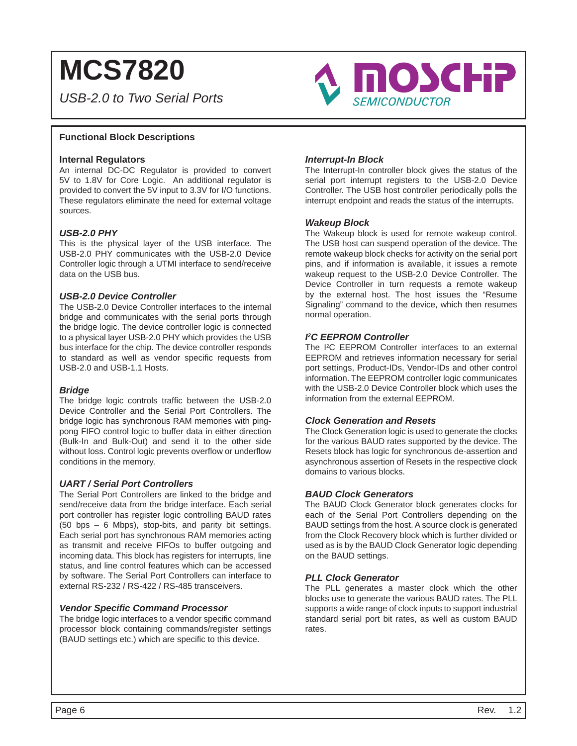*USB-2.0 to Two Serial Ports*



#### **Functional Block Descriptions**

#### **Internal Regulators**

An internal DC-DC Regulator is provided to convert 5V to 1.8V for Core Logic. An additional regulator is provided to convert the 5V input to 3.3V for I/O functions. These regulators eliminate the need for external voltage sources.

#### *USB-2.0 PHY*

This is the physical layer of the USB interface. The USB-2.0 PHY communicates with the USB-2.0 Device Controller logic through a UTMI interface to send/receive data on the USB bus.

#### *USB-2.0 Device Controller*

The USB-2.0 Device Controller interfaces to the internal bridge and communicates with the serial ports through the bridge logic. The device controller logic is connected to a physical layer USB-2.0 PHY which provides the USB bus interface for the chip. The device controller responds to standard as well as vendor specific requests from USB-2.0 and USB-1.1 Hosts.

#### *Bridge*

The bridge logic controls traffic between the USB-2.0 Device Controller and the Serial Port Controllers. The bridge logic has synchronous RAM memories with pingpong FIFO control logic to buffer data in either direction (Bulk-In and Bulk-Out) and send it to the other side without loss. Control logic prevents overflow or underflow conditions in the memory.

#### *UART / Serial Port Controllers*

The Serial Port Controllers are linked to the bridge and send/receive data from the bridge interface. Each serial port controller has register logic controlling BAUD rates (50 bps – 6 Mbps), stop-bits, and parity bit settings. Each serial port has synchronous RAM memories acting as transmit and receive FIFOs to buffer outgoing and incoming data. This block has registers for interrupts, line status, and line control features which can be accessed by software. The Serial Port Controllers can interface to external RS-232 / RS-422 / RS-485 transceivers.

#### *Vendor Specifi c Command Processor*

The bridge logic interfaces to a vendor specific command processor block containing commands/register settings (BAUD settings etc.) which are specific to this device.

#### *Interrupt-In Block*

The Interrupt-In controller block gives the status of the serial port interrupt registers to the USB-2.0 Device Controller. The USB host controller periodically polls the interrupt endpoint and reads the status of the interrupts.

#### *Wakeup Block*

The Wakeup block is used for remote wakeup control. The USB host can suspend operation of the device. The remote wakeup block checks for activity on the serial port pins, and if information is available, it issues a remote wakeup request to the USB-2.0 Device Controller. The Device Controller in turn requests a remote wakeup by the external host. The host issues the "Resume Signaling" command to the device, which then resumes normal operation.

#### *I 2 C EEPROM Controller*

The I<sup>2</sup>C EEPROM Controller interfaces to an external EEPROM and retrieves information necessary for serial port settings, Product-IDs, Vendor-IDs and other control information. The EEPROM controller logic communicates with the USB-2.0 Device Controller block which uses the information from the external EEPROM.

#### *Clock Generation and Resets*

The Clock Generation logic is used to generate the clocks for the various BAUD rates supported by the device. The Resets block has logic for synchronous de-assertion and asynchronous assertion of Resets in the respective clock domains to various blocks.

#### *BAUD Clock Generators*

The BAUD Clock Generator block generates clocks for each of the Serial Port Controllers depending on the BAUD settings from the host. A source clock is generated from the Clock Recovery block which is further divided or used as is by the BAUD Clock Generator logic depending on the BAUD settings.

#### *PLL Clock Generator*

The PLL generates a master clock which the other blocks use to generate the various BAUD rates. The PLL supports a wide range of clock inputs to support industrial standard serial port bit rates, as well as custom BAUD rates.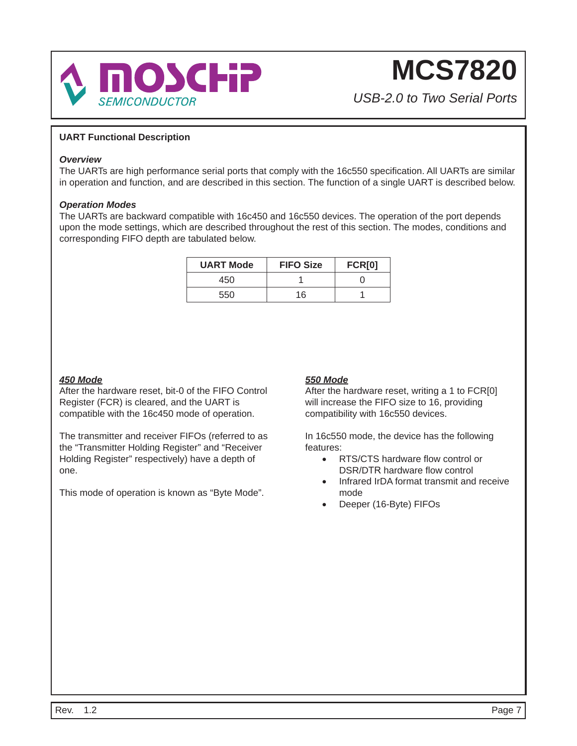

*USB-2.0 to Two Serial Ports*

### **UART Functional Description**

#### *Overview*

The UARTs are high performance serial ports that comply with the 16c550 specification. All UARTs are similar in operation and function, and are described in this section. The function of a single UART is described below.

#### *Operation Modes*

The UARTs are backward compatible with 16c450 and 16c550 devices. The operation of the port depends upon the mode settings, which are described throughout the rest of this section. The modes, conditions and corresponding FIFO depth are tabulated below.

| <b>UART Mode</b> | <b>FIFO Size</b> | <b>FCR[0]</b> |
|------------------|------------------|---------------|
| 450              |                  |               |
| 550              | 16               |               |

### *450 Mode*

After the hardware reset, bit-0 of the FIFO Control Register (FCR) is cleared, and the UART is compatible with the 16c450 mode of operation.

The transmitter and receiver FIFOs (referred to as the "Transmitter Holding Register" and "Receiver Holding Register" respectively) have a depth of one.

This mode of operation is known as "Byte Mode".

### *550 Mode*

After the hardware reset, writing a 1 to FCR[0] will increase the FIFO size to 16, providing compatibility with 16c550 devices.

In 16c550 mode, the device has the following features:

- $\bullet$  RTS/CTS hardware flow control or DSR/DTR hardware flow control
- Infrared IrDA format transmit and receive mode
- Deeper (16-Byte) FIFOs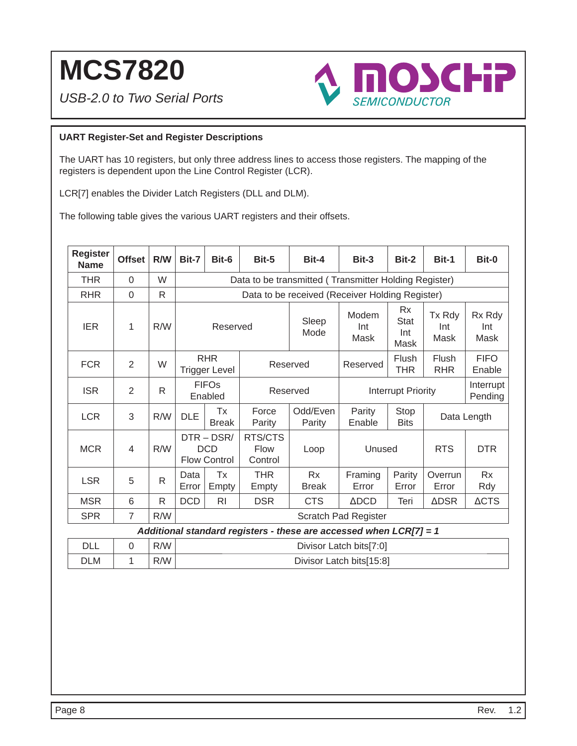*USB-2.0 to Two Serial Ports*



### **UART Register-Set and Register Descriptions**

The UART has 10 registers, but only three address lines to access those registers. The mapping of the registers is dependent upon the Line Control Register (LCR).

LCR[7] enables the Divider Latch Registers (DLL and DLM).

The following table gives the various UART registers and their offsets.

| <b>Register</b><br><b>Name</b> | <b>Offset</b>  | R/W          | Bit-7                              | Bit-6                                             | Bit-5                             | Bit-4                                                              | Bit-3                    | Bit-2                                   | Bit-1                 | Bit-0                 |
|--------------------------------|----------------|--------------|------------------------------------|---------------------------------------------------|-----------------------------------|--------------------------------------------------------------------|--------------------------|-----------------------------------------|-----------------------|-----------------------|
| <b>THR</b>                     | $\Omega$       | W            |                                    |                                                   |                                   | Data to be transmitted (Transmitter Holding Register)              |                          |                                         |                       |                       |
| <b>RHR</b>                     | $\overline{0}$ | R            |                                    |                                                   |                                   | Data to be received (Receiver Holding Register)                    |                          |                                         |                       |                       |
| <b>IER</b>                     | 1              | R/W          |                                    | Reserved                                          |                                   | Sleep<br>Mode                                                      | Modem<br>Int<br>Mask     | <b>Rx</b><br><b>Stat</b><br>Int<br>Mask | Tx Rdy<br>Int<br>Mask | Rx Rdy<br>Int<br>Mask |
| <b>FCR</b>                     | $\overline{2}$ | W            | <b>RHR</b><br><b>Trigger Level</b> |                                                   |                                   | Reserved                                                           | Reserved                 | Flush<br>THR                            | Flush<br><b>RHR</b>   | <b>FIFO</b><br>Enable |
| <b>ISR</b>                     | $\overline{2}$ | R            | <b>FIFOs</b><br>Enabled            |                                                   |                                   | Reserved                                                           |                          | <b>Interrupt Priority</b>               | Interrupt<br>Pending  |                       |
| <b>LCR</b>                     | 3              | R/W          | <b>DLE</b>                         | Tx<br><b>Break</b>                                | Force<br>Parity                   | Odd/Even<br>Parity                                                 | Parity<br>Enable         | Stop<br><b>Bits</b>                     |                       | Data Length           |
| <b>MCR</b>                     | 4              | R/W          |                                    | $DTR - DSR/$<br><b>DCD</b><br><b>Flow Control</b> | RTS/CTS<br><b>Flow</b><br>Control | Loop                                                               | Unused                   |                                         | <b>RTS</b>            | <b>DTR</b>            |
| <b>LSR</b>                     | 5              | $\mathsf{R}$ | Data<br>Error                      | Tx<br>Empty                                       | <b>THR</b><br>Empty               | <b>Rx</b><br><b>Break</b>                                          | Framing<br>Error         | Parity<br>Error                         | Overrun<br>Error      | <b>Rx</b><br>Rdy      |
| <b>MSR</b>                     | 6              | R            | <b>DCD</b>                         | R <sub>l</sub>                                    | <b>DSR</b>                        | <b>CTS</b>                                                         | $\triangle DCD$          | Teri                                    | <b>ADSR</b>           | <b>ACTS</b>           |
| <b>SPR</b>                     | $\overline{7}$ | R/W          | <b>Scratch Pad Register</b>        |                                                   |                                   |                                                                    |                          |                                         |                       |                       |
|                                |                |              |                                    |                                                   |                                   | Additional standard registers - these are accessed when LCR[7] = 1 |                          |                                         |                       |                       |
| <b>DLL</b>                     | $\overline{0}$ | R/W          |                                    |                                                   |                                   |                                                                    | Divisor Latch bits[7:0]  |                                         |                       |                       |
| <b>DLM</b>                     | 1              | R/W          |                                    |                                                   |                                   |                                                                    | Divisor Latch bits[15:8] |                                         |                       |                       |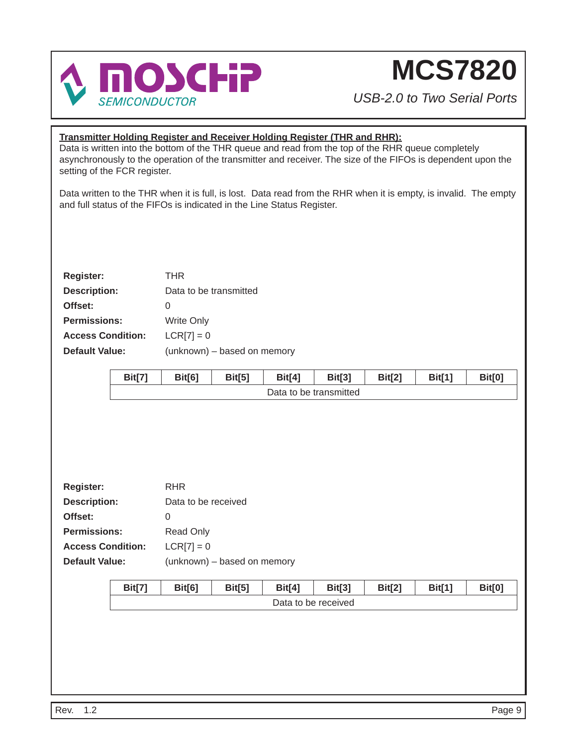

*USB-2.0 to Two Serial Ports*

### **Transmitter Holding Register and Receiver Holding Register (THR and RHR):**

Data is written into the bottom of the THR queue and read from the top of the RHR queue completely asynchronously to the operation of the transmitter and receiver. The size of the FIFOs is dependent upon the setting of the FCR register.

Data written to the THR when it is full, is lost. Data read from the RHR when it is empty, is invalid. The empty and full status of the FIFOs is indicated in the Line Status Register.

| <b>Register:</b>         | THR                         |
|--------------------------|-----------------------------|
| <b>Description:</b>      | Data to be transmitted      |
| Offset:                  | O                           |
| <b>Permissions:</b>      | <b>Write Only</b>           |
| <b>Access Condition:</b> | $LCR[7] = 0$                |
| Default Value:           | (unknown) - based on memory |
|                          |                             |

|                          | <b>Bit[7]</b> | <b>Bit[6]</b>               | <b>Bit[5]</b> | <b>Bit[4]</b> | <b>Bit[3]</b>          | <b>Bit[2]</b> | <b>Bit[1]</b> | <b>Bit[0]</b> |  |
|--------------------------|---------------|-----------------------------|---------------|---------------|------------------------|---------------|---------------|---------------|--|
|                          |               |                             |               |               | Data to be transmitted |               |               |               |  |
|                          |               |                             |               |               |                        |               |               |               |  |
|                          |               |                             |               |               |                        |               |               |               |  |
|                          |               |                             |               |               |                        |               |               |               |  |
|                          |               |                             |               |               |                        |               |               |               |  |
|                          |               |                             |               |               |                        |               |               |               |  |
| <b>Register:</b>         |               | <b>RHR</b>                  |               |               |                        |               |               |               |  |
| <b>Description:</b>      |               | Data to be received         |               |               |                        |               |               |               |  |
| Offset:                  |               | $\mathbf 0$                 |               |               |                        |               |               |               |  |
| <b>Permissions:</b>      |               | Read Only                   |               |               |                        |               |               |               |  |
| <b>Access Condition:</b> |               | $LCR[7] = 0$                |               |               |                        |               |               |               |  |
| <b>Default Value:</b>    |               | (unknown) - based on memory |               |               |                        |               |               |               |  |
|                          |               |                             |               |               |                        |               |               |               |  |
|                          | <b>Bit[7]</b> | Bit[6]                      | <b>Bit[5]</b> | <b>Bit[4]</b> | <b>Bit[3]</b>          | <b>Bit[2]</b> | <b>Bit[1]</b> | <b>Bit[0]</b> |  |
|                          |               | Data to be received         |               |               |                        |               |               |               |  |
|                          |               |                             |               |               |                        |               |               |               |  |
|                          |               |                             |               |               |                        |               |               |               |  |
|                          |               |                             |               |               |                        |               |               |               |  |
|                          |               |                             |               |               |                        |               |               |               |  |
|                          |               |                             |               |               |                        |               |               |               |  |
|                          |               |                             |               |               |                        |               |               |               |  |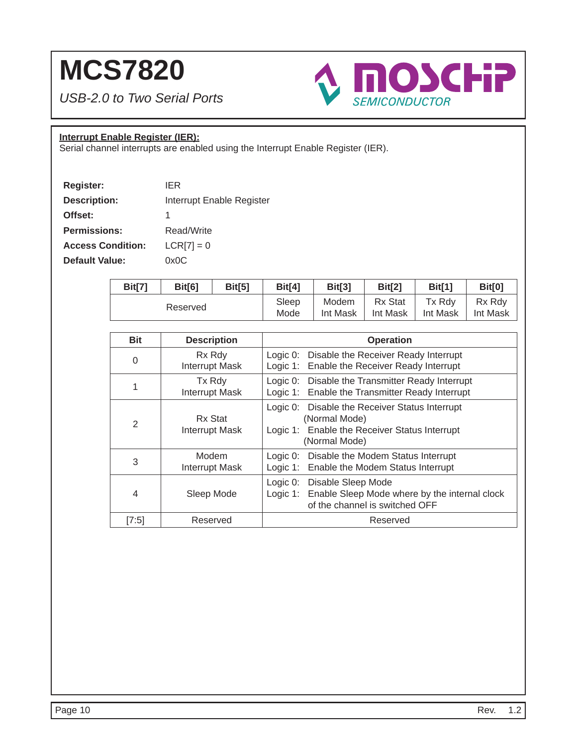*USB-2.0 to Two Serial Ports*



### **Interrupt Enable Register (IER):**

Serial channel interrupts are enabled using the Interrupt Enable Register (IER).

| <b>Register:</b>         | IFR                       |
|--------------------------|---------------------------|
| <b>Description:</b>      | Interrupt Enable Register |
| Offset:                  | 1                         |
| <b>Permissions:</b>      | Read/Write                |
| <b>Access Condition:</b> | $LCR[7] = 0$              |
| <b>Default Value:</b>    | 0x0C                      |

| Bit[7]   | Bit[6] | Bit[5] | Bit[4]   | Bit[3]   | <b>Bit[2]</b> | <b>Bit[1]</b> | Bit[0] |
|----------|--------|--------|----------|----------|---------------|---------------|--------|
| Reserved |        | Sleep  | Modem    | Rx Stat  | Tx Rdv        | Rx Rdv        |        |
|          |        | Mode   | Int Mask | Int Mask | Int Mask      | Int Mask      |        |

| <b>Bit</b> | <b>Description</b>               | <b>Operation</b>                                                                                                                  |
|------------|----------------------------------|-----------------------------------------------------------------------------------------------------------------------------------|
| 0          | Rx Rdy<br><b>Interrupt Mask</b>  | Logic 0: Disable the Receiver Ready Interrupt<br>Logic 1: Enable the Receiver Ready Interrupt                                     |
| 1          | Tx Rdy<br><b>Interrupt Mask</b>  | Logic 0: Disable the Transmitter Ready Interrupt<br>Logic 1: Enable the Transmitter Ready Interrupt                               |
| 2          | Rx Stat<br><b>Interrupt Mask</b> | Logic 0: Disable the Receiver Status Interrupt<br>(Normal Mode)<br>Logic 1: Enable the Receiver Status Interrupt<br>(Normal Mode) |
| 3          | Modem<br><b>Interrupt Mask</b>   | Logic 0: Disable the Modem Status Interrupt<br>Logic 1: Enable the Modem Status Interrupt                                         |
| 4          | Sleep Mode                       | Logic 0: Disable Sleep Mode<br>Logic 1: Enable Sleep Mode where by the internal clock<br>of the channel is switched OFF           |
| [7:5]      | Reserved                         | Reserved                                                                                                                          |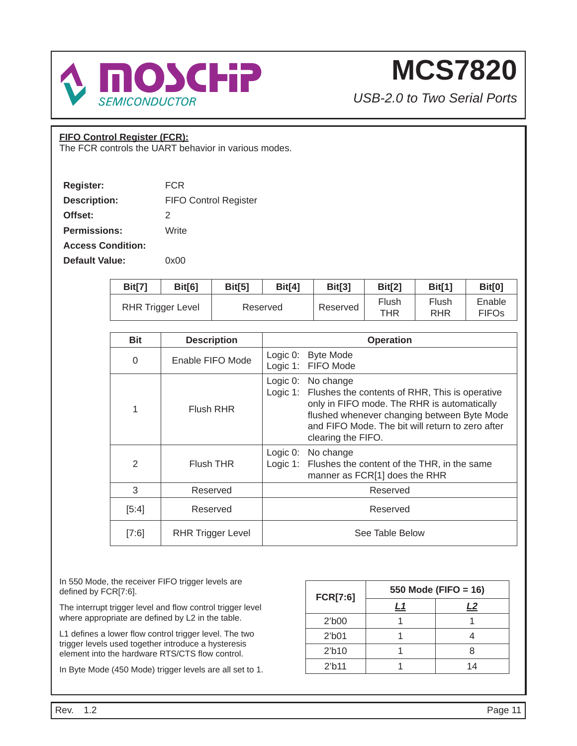

*USB-2.0 to Two Serial Ports*

### **FIFO Control Register (FCR):**

The FCR controls the UART behavior in various modes.

| <b>Register:</b>         | FCR                          |
|--------------------------|------------------------------|
| <b>Description:</b>      | <b>FIFO Control Register</b> |
| Offset:                  | 2                            |
| <b>Permissions:</b>      | Write                        |
| <b>Access Condition:</b> |                              |
| <b>Default Value:</b>    | 0x00                         |

| Bit[7] | Bit[6]                   | Bit[5]   | <b>Bit[4]</b> | Bit[3]   | Bit[2]       | Bit[1]       | <b>Bit[0]</b>          |
|--------|--------------------------|----------|---------------|----------|--------------|--------------|------------------------|
|        | <b>RHR Trigger Level</b> | Reserved |               | Reserved | Flush<br>THR | Flush<br>RHR | Enable<br><b>FIFOs</b> |

| <b>Bit</b>    | <b>Description</b>       | <b>Operation</b>                                                                                                                                                                                                                                            |
|---------------|--------------------------|-------------------------------------------------------------------------------------------------------------------------------------------------------------------------------------------------------------------------------------------------------------|
| $\Omega$      | Enable FIFO Mode         | Logic $0$ :<br><b>Byte Mode</b><br>Logic 1: FIFO Mode                                                                                                                                                                                                       |
|               | Flush RHR                | Logic $0$ :<br>No change<br>Logic 1: Flushes the contents of RHR, This is operative<br>only in FIFO mode. The RHR is automatically<br>flushed whenever changing between Byte Mode<br>and FIFO Mode. The bit will return to zero after<br>clearing the FIFO. |
| $\mathcal{P}$ | Flush THR                | Logic $0$ :<br>No change<br>Logic 1: Flushes the content of the THR, in the same<br>manner as FCR[1] does the RHR                                                                                                                                           |
| 3             | Reserved                 | Reserved                                                                                                                                                                                                                                                    |
| [5:4]         | Reserved                 | Reserved                                                                                                                                                                                                                                                    |
| [7:6]         | <b>RHR Trigger Level</b> | See Table Below                                                                                                                                                                                                                                             |

In 550 Mode, the receiver FIFO trigger levels are defined by FCR[7:6].

The interrupt trigger level and flow control trigger level where appropriate are defined by L2 in the table.

L1 defines a lower flow control trigger level. The two trigger levels used together introduce a hysteresis element into the hardware RTS/CTS flow control.

In Byte Mode (450 Mode) trigger levels are all set to 1.

| <b>FCR[7:6]</b>    | 550 Mode (FIFO = 16) |    |  |
|--------------------|----------------------|----|--|
|                    | L1                   | L2 |  |
| $21$ b $00$        |                      |    |  |
| $21$ b $01$        |                      |    |  |
| 2 <sup>′</sup> b10 |                      |    |  |
| 2 <sup>th</sup> 11 |                      | 14 |  |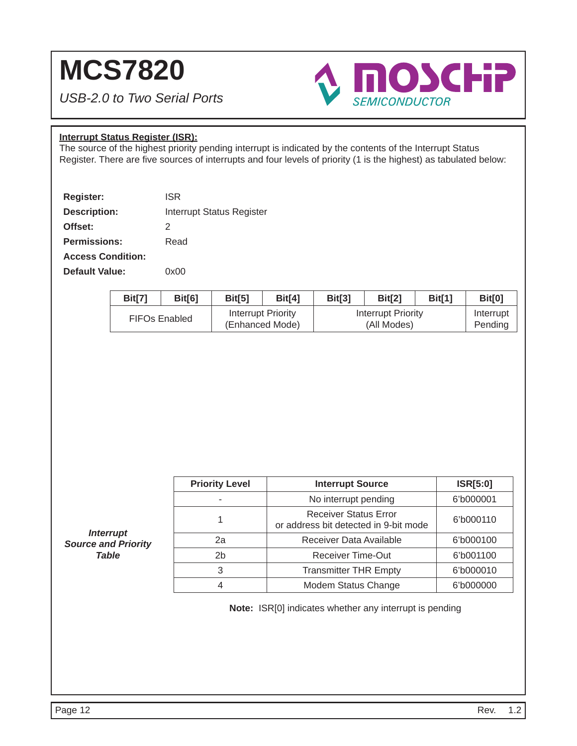*USB-2.0 to Two Serial Ports*



### **Interrupt Status Register (ISR):**

The source of the highest priority pending interrupt is indicated by the contents of the Interrupt Status Register. There are five sources of interrupts and four levels of priority (1 is the highest) as tabulated below:

| <b>Register:</b>         | <b>ISR</b>                       |
|--------------------------|----------------------------------|
| <b>Description:</b>      | <b>Interrupt Status Register</b> |
| Offset:                  | 2                                |
| <b>Permissions:</b>      | Read                             |
| <b>Access Condition:</b> |                                  |
| <b>Default Value:</b>    | ი×იი                             |

| <b>Bit[7]</b> | Bit[6]               | Bit[5] | Bit <sup>[4]</sup>                    | Bit[3] | Bit <sup>[2]</sup>                | Bit[1] | Bit[0]               |
|---------------|----------------------|--------|---------------------------------------|--------|-----------------------------------|--------|----------------------|
|               | <b>FIFOs Enabled</b> |        | Interrupt Priority<br>(Enhanced Mode) |        | Interrupt Priority<br>(All Modes) |        | Interrupt<br>Pending |

| <b>Priority Level</b> | <b>Interrupt Source</b>                                               | <b>ISR[5:0]</b> |
|-----------------------|-----------------------------------------------------------------------|-----------------|
|                       | No interrupt pending                                                  | 6'b000001       |
|                       | <b>Receiver Status Error</b><br>or address bit detected in 9-bit mode | 6'b000110       |
| 2a                    | Receiver Data Available                                               | 6'b000100       |
| 2b                    | <b>Receiver Time-Out</b>                                              | 6'b001100       |
| 3                     | <b>Transmitter THR Empty</b>                                          | 6'b000010       |
|                       | <b>Modem Status Change</b>                                            | 6'b000000       |

**Note:** ISR[0] indicates whether any interrupt is pending

*Interrupt Source and Priority Table*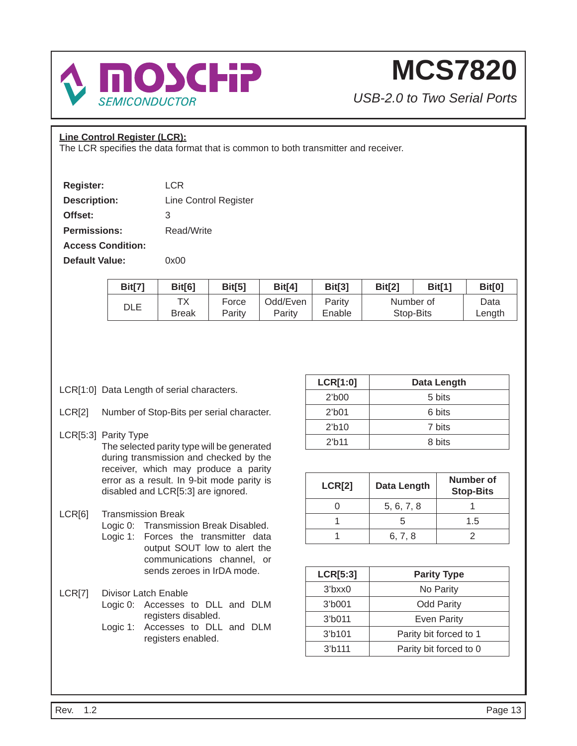

*USB-2.0 to Two Serial Ports*

### **Line Control Register (LCR):**

The LCR specifies the data format that is common to both transmitter and receiver.

| <b>Register:</b>         | LCR                   |
|--------------------------|-----------------------|
| <b>Description:</b>      | Line Control Register |
| Offset:                  | 3                     |
| <b>Permissions:</b>      | Read/Write            |
| <b>Access Condition:</b> |                       |
| <b>Default Value:</b>    | 0x00                  |

| Bit[7] | Bit[6]             | Bit[5]          | Bit[4]             | Bit[3]           | Bit[2]                 | Bit[1] | <b>Bit[0]</b>  |
|--------|--------------------|-----------------|--------------------|------------------|------------------------|--------|----------------|
| DLE    | ТX<br><b>Break</b> | Force<br>Parity | Odd/Even<br>Parity | Parity<br>Enable | Number of<br>Stop-Bits |        | Data<br>Length |

- LCR[1:0] Data Length of serial characters.
- LCR[2] Number of Stop-Bits per serial character.

### LCR[5:3] Parity Type The selected parity type will be generated during transmission and checked by the receiver, which may produce a parity error as a result. In 9-bit mode parity is disabled and LCR[5:3] are ignored.

- LCR[6] Transmission Break
	- Logic 0: Transmission Break Disabled. Logic 1: Forces the transmitter data output SOUT low to alert the communications channel, or sends zeroes in IrDA mode.
- LCR[7] Divisor Latch Enable
	- Logic 0: Accesses to DLL and DLM registers disabled.
	- Logic 1: Accesses to DLL and DLM registers enabled.

| <b>LCR[1:0]</b>    | Data Length |
|--------------------|-------------|
| $21$ b $00$        | 5 bits      |
| $2′$ b01           | 6 bits      |
| 2 <sup>h</sup> 10  | 7 bits      |
| 2 <sup>th</sup> 11 | 8 bits      |

| <b>LCR[2]</b> | Data Length | <b>Number of</b><br><b>Stop-Bits</b> |
|---------------|-------------|--------------------------------------|
|               | 5, 6, 7, 8  |                                      |
|               |             | 1.5                                  |
|               | 6, 7, 8     |                                      |

| LCR[5:3]            | <b>Parity Type</b>     |
|---------------------|------------------------|
| $3$ bxx $0$         | No Parity              |
| 3 <sup>′</sup> b001 | <b>Odd Parity</b>      |
| 3 <sup>′</sup> b011 | <b>Even Parity</b>     |
| 3'b101              | Parity bit forced to 1 |
| $37$ b111           | Parity bit forced to 0 |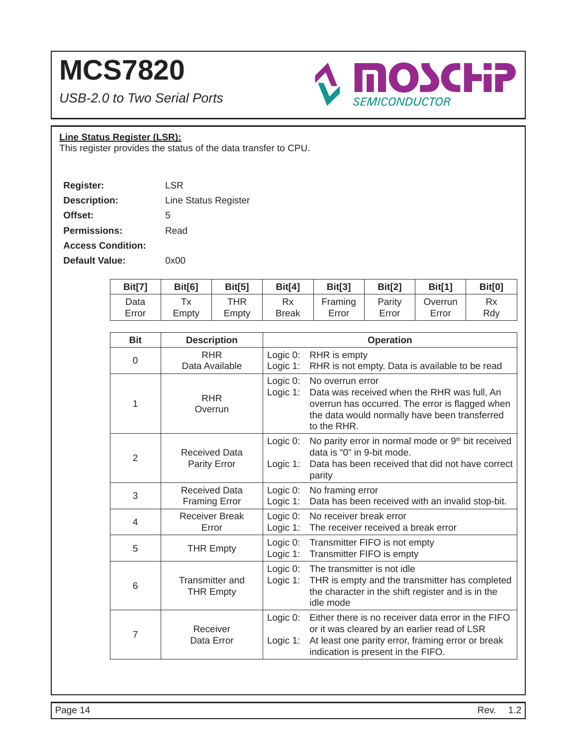*USB-2.0 to Two Serial Ports*



### **Line Status Register (LSR):**

This register provides the status of the data transfer to CPU.

| <b>Register:</b>         | LSR                  |
|--------------------------|----------------------|
| <b>Description:</b>      | Line Status Register |
| Offset:                  | 5                    |
| <b>Permissions:</b>      | Read                 |
| <b>Access Condition:</b> |                      |
| Default Value:           | ი×იი                 |

| Bit[7] | Bit[6] | Bit[5] | Bit[4]       | Bit[3]  | Bit[2] | Bit[1]  | <b>Bit[0]</b> |
|--------|--------|--------|--------------|---------|--------|---------|---------------|
| Data   | Tv     | THR    | Rx           | Framing | Parity | Overrun | Rx            |
| Error  | Empty  | Empty  | <b>Break</b> | Error   | Error  | Error   | Rdv           |

| <b>Bit</b>     | <b>Description</b>                           |                         | <b>Operation</b>                                                                                                                                                                             |
|----------------|----------------------------------------------|-------------------------|----------------------------------------------------------------------------------------------------------------------------------------------------------------------------------------------|
| $\Omega$       | <b>RHR</b><br>Data Available                 | Logic 0:<br>Logic 1:    | RHR is empty<br>RHR is not empty. Data is available to be read                                                                                                                               |
| 1              | <b>RHR</b><br>Overrun                        | Logic 0:<br>Logic 1:    | No overrun error<br>Data was received when the RHR was full, An<br>overrun has occurred. The error is flagged when<br>the data would normally have been transferred<br>to the RHR.           |
| 2              | <b>Received Data</b><br><b>Parity Error</b>  | Logic 0:<br>Logic 1:    | No parity error in normal mode or 9th bit received<br>data is "0" in 9-bit mode.<br>Data has been received that did not have correct<br>parity                                               |
| 3              | <b>Received Data</b><br><b>Framing Error</b> | Logic 0:<br>Logic 1:    | No framing error<br>Data has been received with an invalid stop-bit.                                                                                                                         |
| $\overline{4}$ | <b>Receiver Break</b><br>Error               | Logic 0:<br>Logic 1:    | No receiver break error<br>The receiver received a break error                                                                                                                               |
| 5              | <b>THR Empty</b>                             | Logic 0:<br>Logic 1:    | Transmitter FIFO is not empty<br>Transmitter FIFO is empty                                                                                                                                   |
| 6              | Transmitter and<br><b>THR Empty</b>          | Logic 0:<br>Logic 1:    | The transmitter is not idle<br>THR is empty and the transmitter has completed<br>the character in the shift register and is in the<br>idle mode                                              |
| $\overline{7}$ | Receiver<br>Data Error                       | Logic 0:<br>Logic $1$ : | Either there is no receiver data error in the FIFO<br>or it was cleared by an earlier read of LSR<br>At least one parity error, framing error or break<br>indication is present in the FIFO. |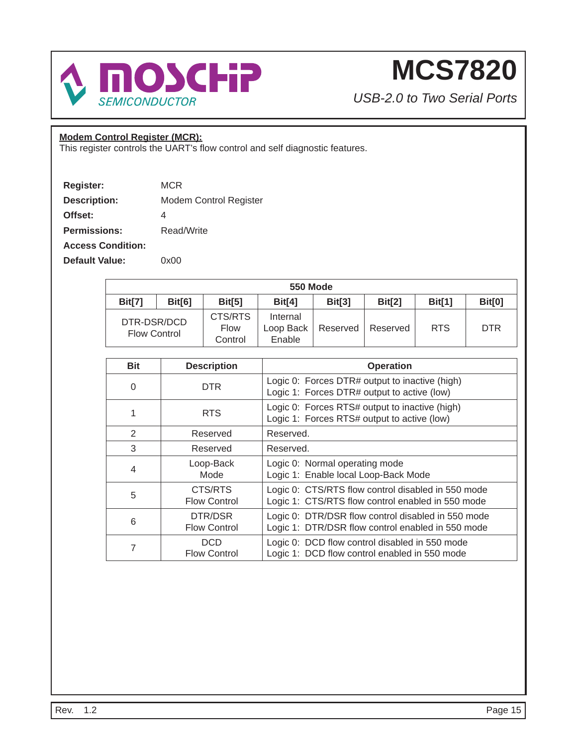

*USB-2.0 to Two Serial Ports*

### **Modem Control Register (MCR):**

This register controls the UART's flow control and self diagnostic features.

| <b>Register:</b>         | MCR                    |
|--------------------------|------------------------|
| <b>Description:</b>      | Modem Control Register |
| Offset:                  | 4                      |
| <b>Permissions:</b>      | Read/Write             |
| <b>Access Condition:</b> |                        |
| <b>Default Value:</b>    | 0x00                   |

|                                    | <b>550 Mode</b> |                            |                                 |               |          |               |            |  |  |  |
|------------------------------------|-----------------|----------------------------|---------------------------------|---------------|----------|---------------|------------|--|--|--|
| <b>Bit[7]</b>                      | Bit[6]          | Bit[5]                     | Bit[4]                          | <b>Bit[3]</b> | Bit[2]   | <b>Bit[1]</b> | Bit[0]     |  |  |  |
| DTR-DSR/DCD<br><b>Flow Control</b> |                 | CTS/RTS<br>Flow<br>Control | Internal<br>Loop Back<br>Enable | Reserved      | Reserved | <b>RTS</b>    | <b>DTR</b> |  |  |  |

| <b>Bit</b>     | <b>Description</b>             | <b>Operation</b>                                                                                        |
|----------------|--------------------------------|---------------------------------------------------------------------------------------------------------|
| $\Omega$       | <b>DTR</b>                     | Logic 0: Forces DTR# output to inactive (high)<br>Logic 1: Forces DTR# output to active (low)           |
|                | <b>RTS</b>                     | Logic 0: Forces RTS# output to inactive (high)<br>Logic 1: Forces RTS# output to active (low)           |
| 2              | Reserved                       | Reserved.                                                                                               |
| 3              | Reserved                       | Reserved.                                                                                               |
| $\overline{4}$ | Loop-Back<br>Mode              | Logic 0: Normal operating mode<br>Logic 1: Enable local Loop-Back Mode                                  |
| 5              | CTS/RTS<br><b>Flow Control</b> | Logic 0: CTS/RTS flow control disabled in 550 mode<br>Logic 1: CTS/RTS flow control enabled in 550 mode |
| 6              | DTR/DSR<br><b>Flow Control</b> | Logic 0: DTR/DSR flow control disabled in 550 mode<br>Logic 1: DTR/DSR flow control enabled in 550 mode |
| 7              | DCD<br><b>Flow Control</b>     | Logic 0: DCD flow control disabled in 550 mode<br>Logic 1: DCD flow control enabled in 550 mode         |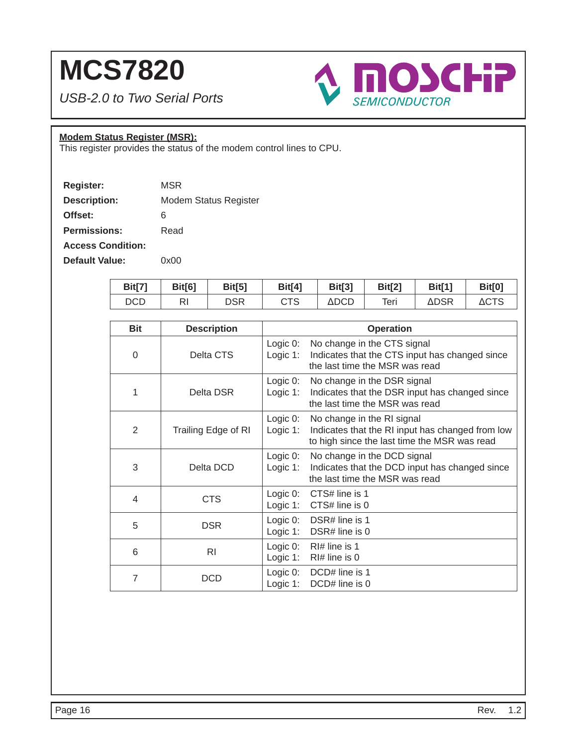*USB-2.0 to Two Serial Ports*



### **Modem Status Register (MSR):**

This register provides the status of the modem control lines to CPU.

| Register:                | MSR                   |
|--------------------------|-----------------------|
| <b>Description:</b>      | Modem Status Register |
| Offset:                  | 6                     |
| <b>Permissions:</b>      | Read                  |
| <b>Access Condition:</b> |                       |
| Default Value:           | 0x00                  |

| Bit[7] | Bit[6] | Bit[5]     | <b>Bit[4]</b> | <b>Bit[3]</b>   | Bit[2] | <b>Bit[1]</b> | <b>Bit[0]</b> |
|--------|--------|------------|---------------|-----------------|--------|---------------|---------------|
| DCD    | RI     | <b>DSR</b> | CTS           | $\triangle DCD$ | Teri   | <b>ADSR</b>   | <b>ACTS</b>   |

| <b>Bit</b>     | <b>Description</b>  | <b>Operation</b>                                                                                                                                             |
|----------------|---------------------|--------------------------------------------------------------------------------------------------------------------------------------------------------------|
| $\Omega$       | Delta CTS           | Logic $0$ :<br>No change in the CTS signal<br>Indicates that the CTS input has changed since<br>Logic $1$ :<br>the last time the MSR was read                |
| 1              | Delta DSR           | Logic $0$ :<br>No change in the DSR signal<br>Logic $1$ :<br>Indicates that the DSR input has changed since<br>the last time the MSR was read                |
| 2              | Trailing Edge of RI | Logic $0$ :<br>No change in the RI signal<br>Logic $1$ :<br>Indicates that the RI input has changed from low<br>to high since the last time the MSR was read |
| 3              | Delta DCD           | Logic 0:<br>No change in the DCD signal<br>Indicates that the DCD input has changed since<br>Logic 1:<br>the last time the MSR was read                      |
| 4              | <b>CTS</b>          | Logic 0:<br>CTS# line is 1<br>Logic $1$ :<br>CTS# line is 0                                                                                                  |
| 5              | <b>DSR</b>          | Logic 0:<br>DSR# line is 1<br>Logic 1:<br>DSR# line is 0                                                                                                     |
| 6              | <b>RI</b>           | Logic $0$ :<br>$R$  # line is 1<br>Logic $1$ :<br>$RI#$ line is 0                                                                                            |
| $\overline{7}$ | DCD                 | Logic 0:<br>DCD# line is 1<br>Logic $1$ :<br>DCD# line is 0                                                                                                  |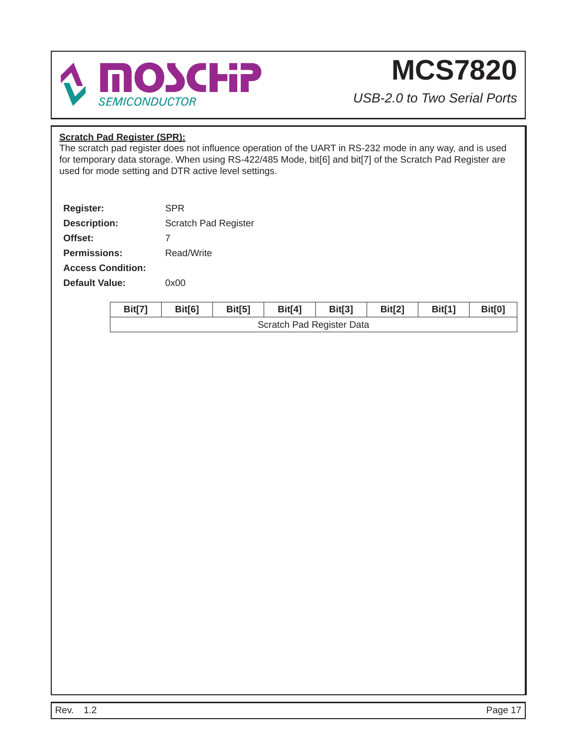

*USB-2.0 to Two Serial Ports*

### **Scratch Pad Register (SPR):**

The scratch pad register does not influence operation of the UART in RS-232 mode in any way, and is used for temporary data storage. When using RS-422/485 Mode, bit[6] and bit[7] of the Scratch Pad Register are used for mode setting and DTR active level settings.

| <b>Register:</b>         | SPR                  |
|--------------------------|----------------------|
| <b>Description:</b>      | Scratch Pad Register |
| Offset:                  | 7                    |
| <b>Permissions:</b>      | Read/Write           |
| <b>Access Condition:</b> |                      |
| Default Value:           | ი×იი                 |

| <b>Bit[7]</b> | Bit[6] | Bit[5] | <b>Bit[4]</b> | <b>Bit[3]</b>             | Bit[2] | Bit[1] | Bit[0] |  |  |  |  |
|---------------|--------|--------|---------------|---------------------------|--------|--------|--------|--|--|--|--|
|               |        |        |               | Scratch Pad Register Data |        |        |        |  |  |  |  |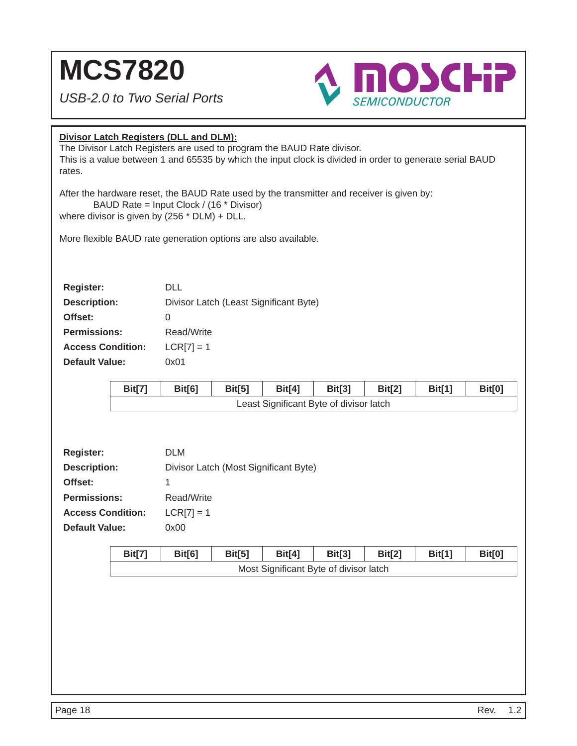*USB-2.0 to Two Serial Ports*



### **Divisor Latch Registers (DLL and DLM):**

The Divisor Latch Registers are used to program the BAUD Rate divisor. This is a value between 1 and 65535 by which the input clock is divided in order to generate serial BAUD rates.

After the hardware reset, the BAUD Rate used by the transmitter and receiver is given by: BAUD Rate = Input Clock / (16 \* Divisor)

where divisor is given by (256 \* DLM) + DLL.

More flexible BAUD rate generation options are also available.

| <b>Register:</b>         | DI L                                   |
|--------------------------|----------------------------------------|
| <b>Description:</b>      | Divisor Latch (Least Significant Byte) |
| Offset:                  | O                                      |
| <b>Permissions:</b>      | Read/Write                             |
| <b>Access Condition:</b> | $LCR[7] = 1$                           |
| <b>Default Value:</b>    | 0x01                                   |

| Bit[7] | Bit[6] | Bit[5] | Bit[4] | Bit[3]                                  | Bit[2] | <b>Bit[1]</b> | <b>Bit[0]</b> |
|--------|--------|--------|--------|-----------------------------------------|--------|---------------|---------------|
|        |        |        |        | Least Significant Byte of divisor latch |        |               |               |

| <b>Register:</b>         | <b>DLM</b>                            |
|--------------------------|---------------------------------------|
| <b>Description:</b>      | Divisor Latch (Most Significant Byte) |
| Offset:                  |                                       |
| <b>Permissions:</b>      | Read/Write                            |
| <b>Access Condition:</b> | $LCR[7] = 1$                          |
| <b>Default Value:</b>    | 0x00                                  |

| Bit[7] | <b>Bit[6]</b> | <b>Bit[5]</b> | <b>Bit[4]</b> | <b>Bit[3]</b>                          | <b>Bit[2]</b> | Bit[1] | Bit[0] |
|--------|---------------|---------------|---------------|----------------------------------------|---------------|--------|--------|
|        |               |               |               | Most Significant Byte of divisor latch |               |        |        |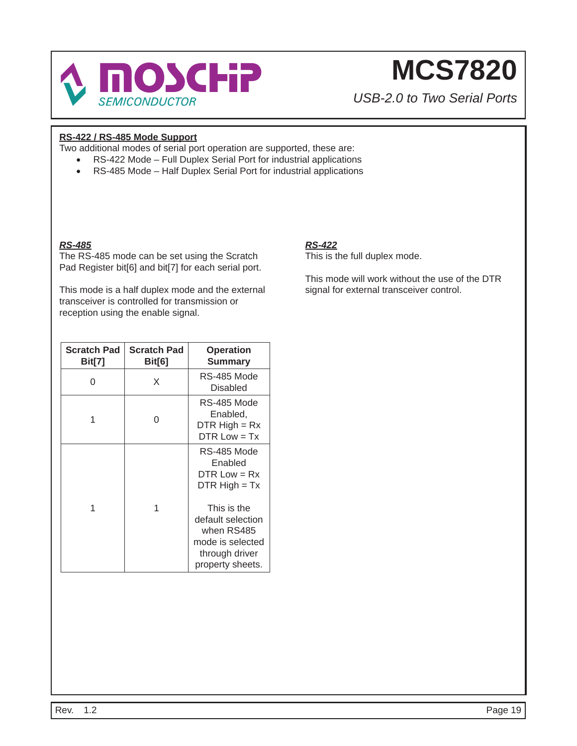

*USB-2.0 to Two Serial Ports*

### **RS-422 / RS-485 Mode Support**

Two additional modes of serial port operation are supported, these are:

- RS-422 Mode Full Duplex Serial Port for industrial applications
- RS-485 Mode Half Duplex Serial Port for industrial applications

### *RS-485*

The RS-485 mode can be set using the Scratch Pad Register bit[6] and bit[7] for each serial port.

This mode is a half duplex mode and the external transceiver is controlled for transmission or reception using the enable signal.

| <b>Scratch Pad</b><br>Bit[7] | <b>Scratch Pad</b><br><b>Bit[6]</b> | <b>Operation</b><br><b>Summary</b>                                                                       |
|------------------------------|-------------------------------------|----------------------------------------------------------------------------------------------------------|
| ∩                            | X                                   | RS-485 Mode<br>Disabled                                                                                  |
|                              | ი                                   | RS-485 Mode<br>Enabled,<br>DTR $High = Rx$<br>$DTR Low = Tx$                                             |
|                              |                                     | RS-485 Mode<br>Enabled<br>$DTR Low = Rx$<br>$DTR High = Tx$                                              |
|                              | 1                                   | This is the<br>default selection<br>when RS485<br>mode is selected<br>through driver<br>property sheets. |

### *RS-422*

This is the full duplex mode.

This mode will work without the use of the DTR signal for external transceiver control.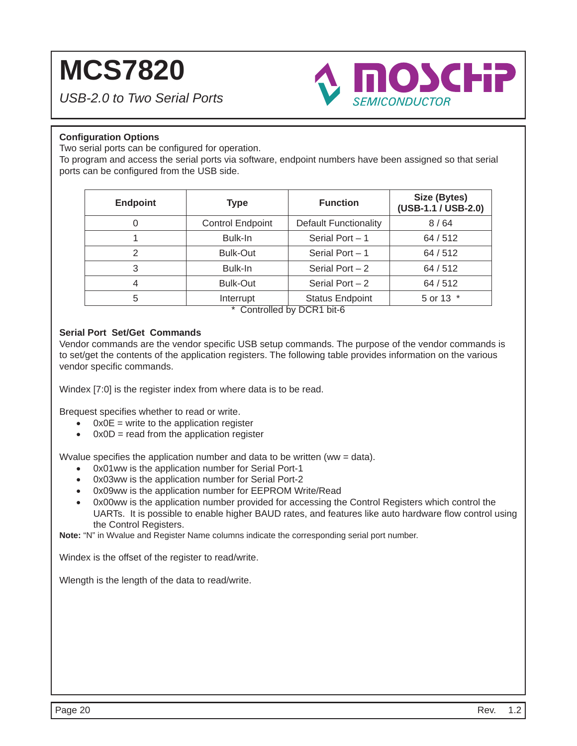*USB-2.0 to Two Serial Ports*



### **Confi guration Options**

Two serial ports can be configured for operation.

To program and access the serial ports via software, endpoint numbers have been assigned so that serial ports can be configured from the USB side.

| <b>Endpoint</b> | <b>Type</b>             | <b>Function</b>                                        | Size (Bytes)<br>(USB-1.1 / USB-2.0) |  |  |
|-----------------|-------------------------|--------------------------------------------------------|-------------------------------------|--|--|
|                 | <b>Control Endpoint</b> | <b>Default Functionality</b>                           | 8/64                                |  |  |
|                 | Bulk-In                 | Serial Port $-1$                                       | 64/512                              |  |  |
| 2               | <b>Bulk-Out</b>         | Serial Port $-1$                                       | 64/512                              |  |  |
| 3               | Bulk-In                 | Serial Port $-2$                                       | 64/512                              |  |  |
| 4               | <b>Bulk-Out</b>         |                                                        | 64/512                              |  |  |
| 5               | Interrupt               | <b>Status Endpoint</b><br>$*$ Controlled by DCD4 bit C | 5 or 13 *                           |  |  |

Controlled by DCR1 bit-6

#### **Serial Port Set/Get Commands**

Vendor commands are the vendor specific USB setup commands. The purpose of the vendor commands is to set/get the contents of the application registers. The following table provides information on the various vendor specific commands.

Windex [7:0] is the register index from where data is to be read.

Brequest specifies whether to read or write.

- $\bullet$  0x0E = write to the application register
- $0x0D$  = read from the application register

Wyalue specifies the application number and data to be written (ww = data).

- 0x01ww is the application number for Serial Port-1
- 0x03ww is the application number for Serial Port-2
- 0x09ww is the application number for EEPROM Write/Read
- 0x00ww is the application number provided for accessing the Control Registers which control the UARTs. It is possible to enable higher BAUD rates, and features like auto hardware flow control using the Control Registers.

**Note:** "N" in Wvalue and Register Name columns indicate the corresponding serial port number.

Windex is the offset of the register to read/write.

Wlength is the length of the data to read/write.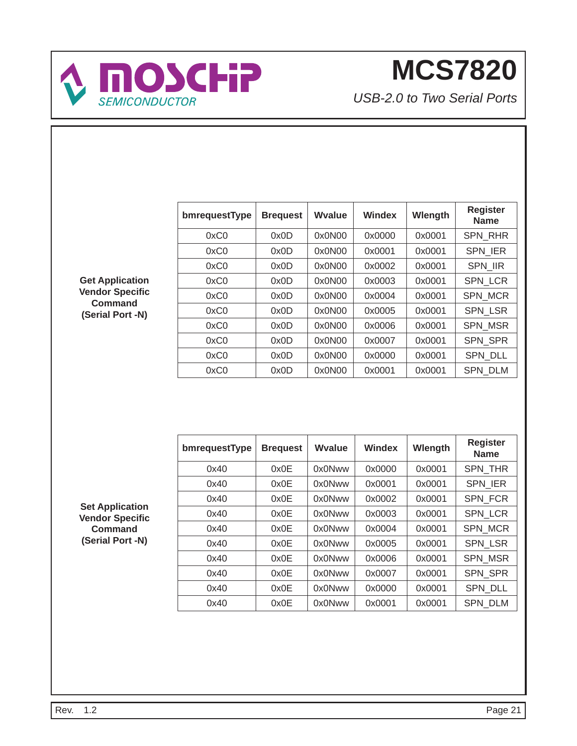

*USB-2.0 to Two Serial Ports*

| bmrequestType | <b>Brequest</b> | Wyalue | Windex | Wlength | <b>Register</b><br><b>Name</b> |
|---------------|-----------------|--------|--------|---------|--------------------------------|
| 0xC0          | 0x0D            | 0x0N00 | 0x0000 | 0x0001  | <b>SPN RHR</b>                 |
| 0xC0          | 0x0D            | 0x0N00 | 0x0001 | 0x0001  | <b>SPN IER</b>                 |
| 0xC0          | 0x0D            | 0x0N00 | 0x0002 | 0x0001  | <b>SPN IIR</b>                 |
| 0xC0          | 0x0D            | 0x0N00 | 0x0003 | 0x0001  | <b>SPN LCR</b>                 |
| 0xC0          | 0x0D            | 0x0N00 | 0x0004 | 0x0001  | SPN_MCR                        |
| 0xC0          | 0x0D            | 0x0N00 | 0x0005 | 0x0001  | SPN_LSR                        |
| 0xC0          | 0x0D            | 0x0N00 | 0x0006 | 0x0001  | <b>SPN MSR</b>                 |
| 0xC0          | 0x0D            | 0x0N00 | 0x0007 | 0x0001  | <b>SPN SPR</b>                 |
| 0xC0          | 0x0D            | 0x0N00 | 0x0000 | 0x0001  | <b>SPN DLL</b>                 |
| 0xC0          | 0x0D            | 0x0N00 | 0x0001 | 0x0001  | <b>SPN DLM</b>                 |

**Get Application Vendor Specifi c Command (Serial Port -N)**

| bmrequestType | <b>Brequest</b> | Wyalue | <b>Windex</b> | Wlength | <b>Register</b><br><b>Name</b> |
|---------------|-----------------|--------|---------------|---------|--------------------------------|
| 0x40          | 0x0E            | 0x0Nww | 0x0000        | 0x0001  | <b>SPN THR</b>                 |
| 0x40          | 0x0E            | 0x0Nww | 0x0001        | 0x0001  | <b>SPN IER</b>                 |
| 0x40          | 0x0E            | 0x0Nww | 0x0002        | 0x0001  | <b>SPN FCR</b>                 |
| 0x40          | 0x0E            | 0x0Nww | 0x0003        | 0x0001  | <b>SPN LCR</b>                 |
| 0x40          | 0x0E            | 0x0Nww | 0x0004        | 0x0001  | <b>SPN MCR</b>                 |
| 0x40          | 0x0E            | 0x0Nww | 0x0005        | 0x0001  | <b>SPN LSR</b>                 |
| 0x40          | 0x0E            | 0x0Nww | 0x0006        | 0x0001  | <b>SPN MSR</b>                 |
| 0x40          | 0x0E            | 0x0Nww | 0x0007        | 0x0001  | <b>SPN SPR</b>                 |
| 0x40          | 0x0E            | 0x0Nww | 0x0000        | 0x0001  | SPN DLL                        |
| 0x40          | 0x0E            | 0x0Nww | 0x0001        | 0x0001  | <b>SPN DLM</b>                 |

**Set Application Vendor Specifi c Command (Serial Port -N)**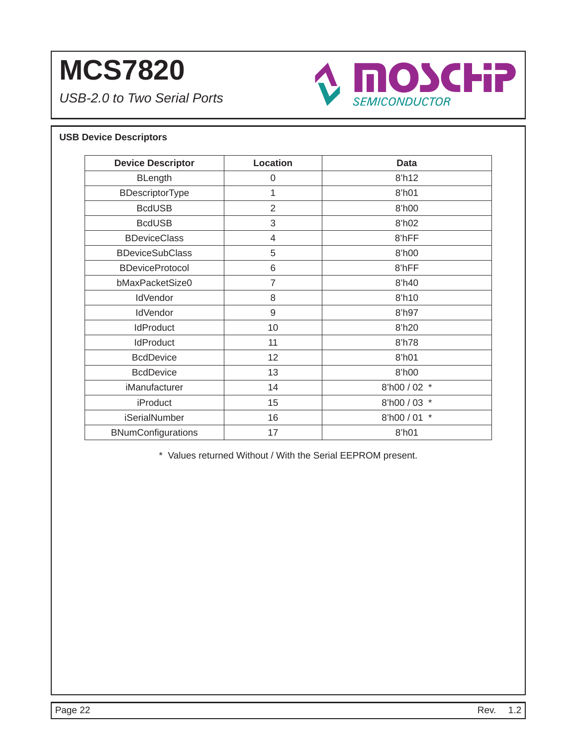*USB-2.0 to Two Serial Ports*



### **USB Device Descriptors**

| <b>Device Descriptor</b>  | Location       | <b>Data</b>          |
|---------------------------|----------------|----------------------|
| <b>BLength</b>            | 0              | 8'h12                |
| BDescriptorType           | 1              | 8'h01                |
| <b>BcdUSB</b>             | $\overline{2}$ | 8'h00                |
| <b>BcdUSB</b>             | 3              | 8'h02                |
| <b>BDeviceClass</b>       | 4              | 8'hFF                |
| <b>BDeviceSubClass</b>    | 5              | 8'h00                |
| <b>BDeviceProtocol</b>    | 6              | 8'hFF                |
| bMaxPacketSize0           | $\overline{7}$ | 8'h40                |
| <b>IdVendor</b>           | 8              | 8'h10                |
| <b>IdVendor</b>           | 9              | 8'h97                |
| <b>IdProduct</b>          | 10             | 8'h20                |
| <b>IdProduct</b>          | 11             | 8'h78                |
| <b>BcdDevice</b>          | 12             | 8'h01                |
| <b>BcdDevice</b>          | 13             | 8'h00                |
| iManufacturer             | 14             | 8'h00 / 02 *         |
| <b>iProduct</b>           | 15             | 8'h00 / 03 *         |
| iSerialNumber             | 16             | $\ast$<br>8'h00 / 01 |
| <b>BNumConfigurations</b> | 17             | 8'h01                |

\* Values returned Without / With the Serial EEPROM present.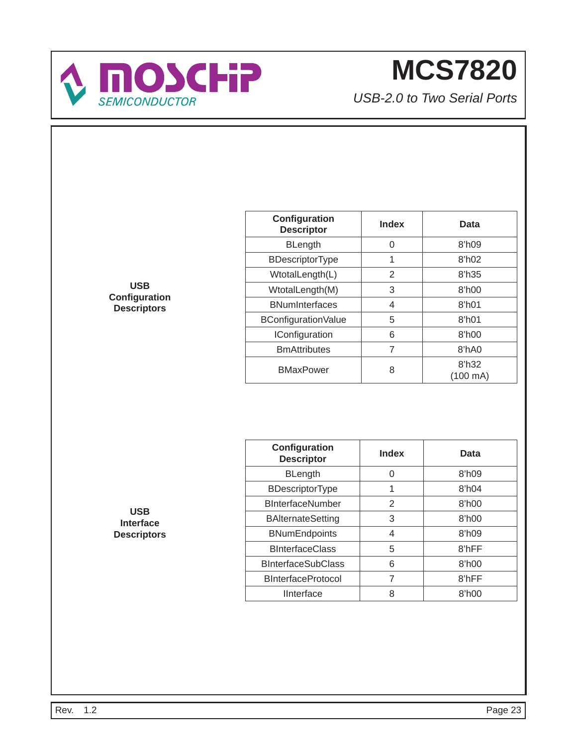

*USB-2.0 to Two Serial Ports*

| <b>USB</b>         |
|--------------------|
| Configuration      |
| <b>Descriptors</b> |

| Configuration<br><b>Descriptor</b> | Index | Data               |
|------------------------------------|-------|--------------------|
| <b>BLength</b>                     | 0     | 8'h09              |
| <b>BDescriptorType</b>             | 1     | 8 <sup>h</sup> 02  |
| WtotalLength(L)                    | 2     | 8'h35              |
| WtotalLength(M)                    | 3     | 8'h00              |
| <b>BNumInterfaces</b>              | 4     | 8 <sup>th</sup> 01 |
| BConfigurationValue                | 5     | 8'h01              |
| <b>IConfiguration</b>              | 6     | 8 <sup>h</sup> 00  |
| <b>BmAttributes</b>                | 7     | 8'hA0              |
| <b>BMaxPower</b>                   | 8     | 8'h32<br>(100 mA)  |

| Configuration<br><b>Descriptor</b> | <b>Index</b> | Data              |
|------------------------------------|--------------|-------------------|
| <b>BLength</b>                     | ∩            | 8 <sup>h</sup> 09 |
| <b>BDescriptorType</b>             | 1            | 8 <sup>h</sup> 04 |
| <b>BInterfaceNumber</b>            | 2            | 8'h00             |
| <b>BAlternateSetting</b>           | 3            | 8'h00             |
| <b>BNumEndpoints</b>               | 4            | 8 <sup>h</sup> 09 |
| <b>BInterfaceClass</b>             | 5            | 8'hFF             |
| <b>BInterfaceSubClass</b>          | 6            | 8'h00             |
| <b>BInterfaceProtocol</b>          | 7            | 8'hFF             |
| <b>IInterface</b>                  | 8            | 8'h00             |

**USB Interface Descriptors**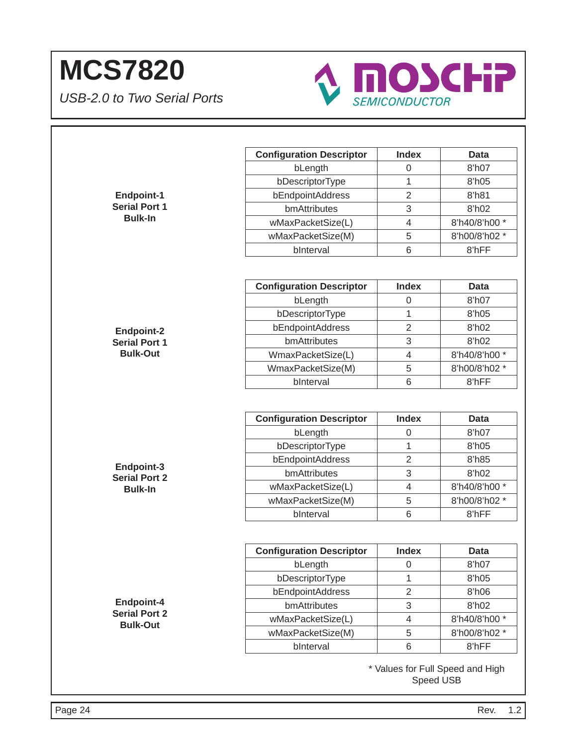

|                                         | <b>Configuration Descriptor</b> | <b>Index</b>   | <b>Data</b>    |
|-----------------------------------------|---------------------------------|----------------|----------------|
|                                         | bLength                         | 0              | 8'h07          |
|                                         | bDescriptorType                 | 1              | 8'h05          |
| <b>Endpoint-1</b>                       | bEndpointAddress                | $\overline{2}$ | 8'h81          |
| <b>Serial Port 1</b>                    | bmAttributes                    | 3              | 8'h02          |
| <b>Bulk-In</b>                          | wMaxPacketSize(L)               | $\overline{4}$ | 8'h40/8'h00 *  |
|                                         | wMaxPacketSize(M)               | 5              | 8'h00/8'h02 *  |
|                                         | bInterval                       | 6              | 8'hFF          |
|                                         |                                 |                |                |
|                                         | <b>Configuration Descriptor</b> | <b>Index</b>   | <b>Data</b>    |
|                                         | bLength                         | 0              | 8'h07          |
|                                         | bDescriptorType                 | 1              | 8'h05          |
| <b>Endpoint-2</b>                       | bEndpointAddress                | $\overline{2}$ | 8'h02          |
| <b>Serial Port 1</b>                    | bmAttributes                    | 3              | 8'h02          |
| <b>Bulk-Out</b>                         | WmaxPacketSize(L)               | $\overline{4}$ | 8'h40/8'h00 *  |
|                                         | WmaxPacketSize(M)               | 5              | 8'h00/8'h02 *  |
|                                         | bInterval                       | $\,6$          | 8'hFF          |
|                                         | bLength<br>bDescriptorType      | 0<br>1         | 8'h07<br>8'h05 |
|                                         |                                 |                |                |
|                                         | bEndpointAddress                | $\overline{2}$ | 8'h85          |
| Endpoint-3                              | bmAttributes                    | 3              | 8'h02          |
| <b>Serial Port 2</b><br><b>Bulk-In</b>  | wMaxPacketSize(L)               | $\overline{4}$ | 8'h40/8'h00 *  |
|                                         | wMaxPacketSize(M)               | 5              | 8'h00/8'h02 *  |
|                                         | bInterval                       | 6              | 8'hFF          |
|                                         |                                 |                |                |
|                                         | <b>Configuration Descriptor</b> | <b>Index</b>   | <b>Data</b>    |
|                                         | bLength                         | 0              | 8'h07          |
|                                         | bDescriptorType                 | 1              | 8'h05          |
|                                         | bEndpointAddress                | $\overline{2}$ | 8'h06          |
| Endpoint-4                              | bmAttributes                    | $\mathfrak{S}$ | 8'h02          |
|                                         | wMaxPacketSize(L)               | 4              | 8'h40/8'h00 *  |
|                                         |                                 |                |                |
| <b>Serial Port 2</b><br><b>Bulk-Out</b> | wMaxPacketSize(M)               | 5              | 8'h00/8'h02 *  |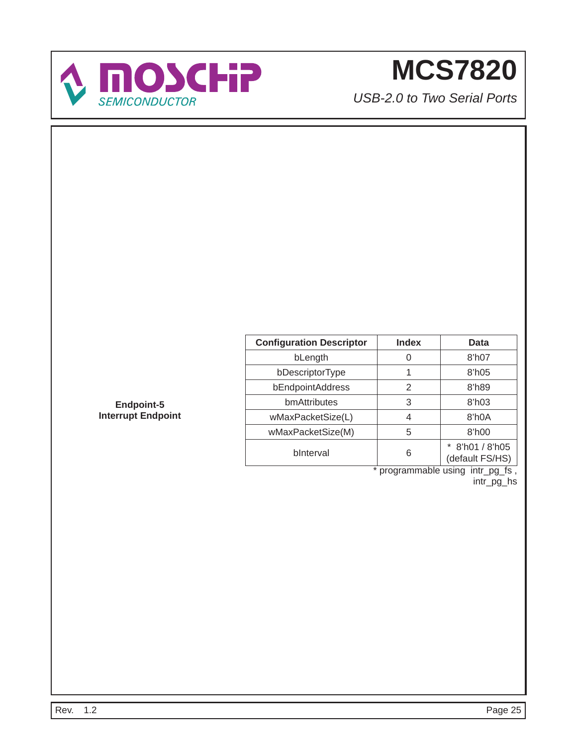

*USB-2.0 to Two Serial Ports*

| <b>Configuration Descriptor</b> | <b>Index</b> | Data                             |
|---------------------------------|--------------|----------------------------------|
| bLength                         |              | 8'h07                            |
| bDescriptorType                 |              | 8'h05                            |
| bEndpointAddress                | 2            | 8'h89                            |
| bmAttributes                    | 3            | $8$ 'h03                         |
| wMaxPacketSize(L)               | 4            | 8'h0A                            |
| wMaxPacketSize(M)               | 5            | 8'h00                            |
| bInterval                       | 6            | 8'h01 / 8'h05<br>(default FS/HS) |

\* programmable using intr\_pg\_fs , intr\_pg\_hs

**Endpoint-5 Interrupt Endpoint**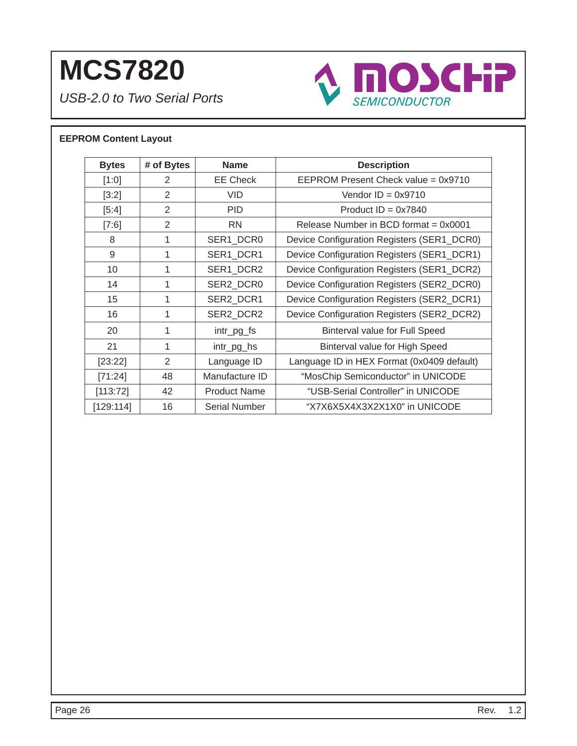*USB-2.0 to Two Serial Ports*



### **EEPROM Content Layout**

| <b>Bytes</b> | # of Bytes     | <b>Name</b>         | <b>Description</b>                         |
|--------------|----------------|---------------------|--------------------------------------------|
| [1:0]        | 2              | <b>EE Check</b>     | EEPROM Present Check value = 0x9710        |
| [3:2]        | 2              | <b>VID</b>          | Vendor $ID = 0x9710$                       |
| $[5:4]$      | $\mathfrak{D}$ | <b>PID</b>          | Product $ID = 0x7840$                      |
| [7:6]        | 2              | <b>RN</b>           | Release Number in BCD format $= 0x0001$    |
| 8            | 1              | SER1_DCR0           | Device Configuration Registers (SER1_DCR0) |
| 9            | 1              | SER1_DCR1           | Device Configuration Registers (SER1_DCR1) |
| 10           | 1              | SER1 DCR2           | Device Configuration Registers (SER1_DCR2) |
| 14           | 1              | SER2 DCR0           | Device Configuration Registers (SER2_DCR0) |
| 15           | 1              | SER2_DCR1           | Device Configuration Registers (SER2_DCR1) |
| 16           | 1              | SER2_DCR2           | Device Configuration Registers (SER2_DCR2) |
| 20           | 1              | intr_pg_fs          | Binterval value for Full Speed             |
| 21           | 1              | intr_pg_hs          | Binterval value for High Speed             |
| [23:22]      | 2              | Language ID         | Language ID in HEX Format (0x0409 default) |
| [71:24]      | 48             | Manufacture ID      | "MosChip Semiconductor" in UNICODE         |
| [113:72]     | 42             | <b>Product Name</b> | "USB-Serial Controller" in UNICODE         |
| [129:114]    | 16             | Serial Number       | "X7X6X5X4X3X2X1X0" in UNICODE              |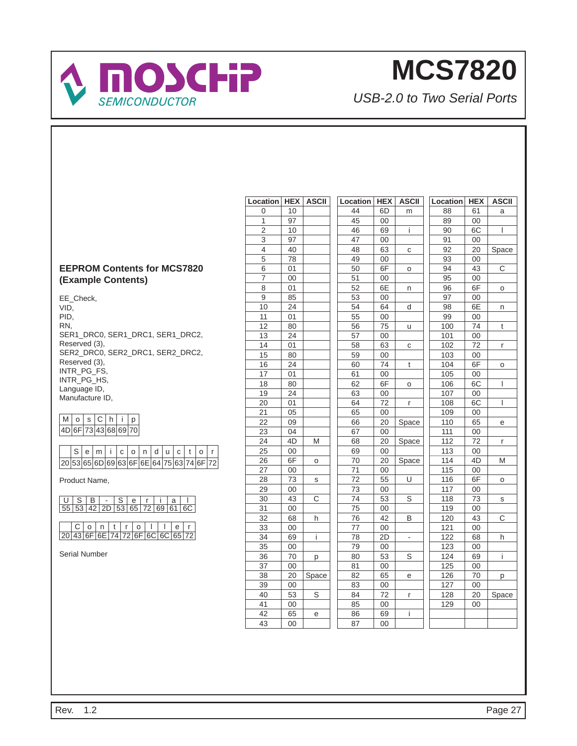

*USB-2.0 to Two Serial Ports*

### **EEPROM Contents for MCS7820 (Example Contents)**

EE\_Check, VID, PID, RN, SER1\_DRC0, SER1\_DRC1, SER1\_DRC2, Reserved (3), SER2\_DRC0, SER2\_DRC1, SER2\_DRC2, Reserved (3), INTR\_PG\_FS, INTR\_PG\_HS, Language ID, Manufacture ID,

### $M$  o sChip 4D 6F 73 43 68 69 70

|  |  | S e m i c o n d u c t o r                    |  |  |  |  |  |
|--|--|----------------------------------------------|--|--|--|--|--|
|  |  | $ 20 53 65 6D 69 63 6F 6E 64 75 63 74 6F 72$ |  |  |  |  |  |

Product Name,

|  | USB-Serial<br>55 53 42 2D 53 65 72 69 61 6C |  |  |  |
|--|---------------------------------------------|--|--|--|
|  |                                             |  |  |  |

C | o | n | t | r | o | l | l | e | r 20 43 6F 6E 74 72 6F 6C 6C 65 72

Serial Number

| Location        | <b>HEX</b>      | <b>ASCII</b>   | Location        | <b>HEX</b>      | <b>ASCII</b> | Location        | <b>HEX</b>      | <b>ASCII</b>            |
|-----------------|-----------------|----------------|-----------------|-----------------|--------------|-----------------|-----------------|-------------------------|
| 0               | 10              |                | 44              | 6D              | m            | 88              | 61              | a                       |
| $\mathbf{1}$    | 97              |                | $\overline{45}$ | $\overline{00}$ |              | 89              | $\overline{00}$ |                         |
| $\overline{c}$  | 10              |                | 46              | 69              | İ.           | 90              | 6C              | I                       |
| $\overline{3}$  | 97              |                | 47              | 00              |              | 91              | 00              |                         |
| 4               | 40              |                | 48              | 63              | C            | 92              | 20              | Space                   |
| 5               | 78              |                | 49              | $00\,$          |              | 93              | $00\,$          |                         |
| $\overline{6}$  | 01              |                | 50              | 6F              | O            | 94              | 43              | $\overline{\mathrm{C}}$ |
| 7               | $00\,$          |                | 51              | $00\,$          |              | 95              | 00              |                         |
| 8               | 01              |                | 52              | 6E              | n            | 96              | 6F              | 0                       |
| $\overline{9}$  | 85              |                | 53              | 00              |              | $\overline{97}$ | $00\,$          |                         |
| 10              | 24              |                | 54              | 64              | d            | 98              | 6E              | n                       |
| 11              | 01              |                | 55              | $00\,$          |              | 99              | $00\,$          |                         |
| $\overline{12}$ | 80              |                | 56              | 75              | u            | 100             | 74              | t                       |
| 13              | 24              |                | 57              | 00              |              | 101             | $00\,$          |                         |
| $\overline{14}$ | 01              |                | $\overline{58}$ | 63              | C            | 102             | $\overline{72}$ | r                       |
| 15              | 80              |                | 59              | $00\,$          |              | 103             | 00              |                         |
| 16              | 24              |                | 60              | 74              | t            | 104             | 6F              | O                       |
| 17              | 01              |                | 61              | 00              |              | 105             | $00\,$          |                         |
| 18              | 80              |                | 62              | 6F              | O            | 106             | 6C              | I                       |
| 19              | 24              |                | 63              | $00\,$          |              | 107             | 00              |                         |
| $\overline{20}$ | 01              |                | 64              | $\overline{72}$ | r            | 108             | 6C              | L                       |
| 21              | 05              |                | 65              | $00\,$          |              | 109             | $00\,$          |                         |
| 22              | 09              |                | 66              | 20              | Space        | 110             | 65              | е                       |
| 23              | 04              |                | 67              | 00              |              | 111             | $00\,$          |                         |
| 24              | 4D              | M              | 68              | 20              | Space        | 112             | 72              | r                       |
| 25              | $00\,$          |                | 69              | 00              |              | 113             | $00\,$          |                         |
| 26              | 6F              | O              | 70              | 20              | Space        | 114             | 4D              | M                       |
| 27              | $00\,$          |                | $\overline{71}$ | 00              |              | 115             | $00\,$          |                         |
| 28              | 73              | S              | $\overline{72}$ | 55              | U            | 116             | 6F              | 0                       |
| 29              | 00              |                | $\overline{73}$ | $00\,$          |              | 117             | 00              |                         |
| 30              | 43              | С              | 74              | 53              | $\mathbb S$  | 118             | 73              | S                       |
| 31              | $00\,$          |                | 75              | $00\,$          |              | 119             | $00\,$          |                         |
| 32              | 68              | h              | 76              | 42              | B            | 120             | 43              | C                       |
| 33              | $00\,$          |                | 77              | $00\,$          |              | 121             | $00\,$          |                         |
| 34              | 69              | Ĺ              | 78              | 2D              |              | 122             | 68              | h                       |
| $\overline{35}$ | $\overline{00}$ |                | $\overline{79}$ | 00              |              | 123             | $\overline{00}$ |                         |
| 36              | 70              | p              | 80              | 53              | $\rm S$      | 124             | 69              | İ                       |
| 37              | $00\,$          |                | 81              | $00\,$          |              | 125             | $00\,$          |                         |
| 38              | 20              | Space          | 82              | 65              | е            | 126             | 70              | р                       |
| 39              | 00              |                | 83              | $00\,$          |              | 127             | 00              |                         |
| 40              | $\overline{53}$ | $\overline{s}$ | 84              | $\overline{72}$ | r            | 128             | 20              | Space                   |
| 41              | $00\,$          |                | 85              | $00\,$          |              | 129             | $00\,$          |                         |
| 42              | 65              | е              | 86              | 69              | İ.           |                 |                 |                         |
| 43              | 00              |                | 87              | 00              |              |                 |                 |                         |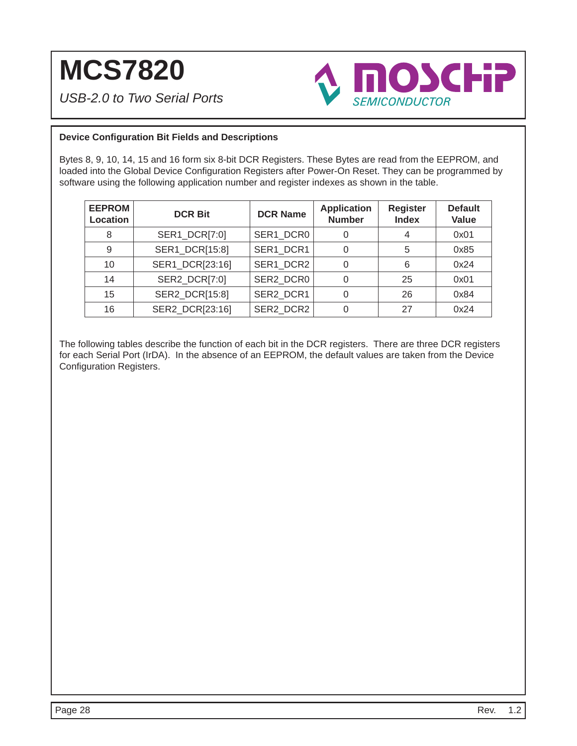*USB-2.0 to Two Serial Ports*



### **Device Confi guration Bit Fields and Descriptions**

Bytes 8, 9, 10, 14, 15 and 16 form six 8-bit DCR Registers. These Bytes are read from the EEPROM, and loaded into the Global Device Configuration Registers after Power-On Reset. They can be programmed by software using the following application number and register indexes as shown in the table.

| <b>EEPROM</b><br><b>Location</b> | <b>DCR Bit</b>  | <b>DCR Name</b> | <b>Application</b><br><b>Number</b> | <b>Register</b><br><b>Index</b> | <b>Default</b><br>Value |
|----------------------------------|-----------------|-----------------|-------------------------------------|---------------------------------|-------------------------|
| 8                                | SER1_DCR[7:0]   | SER1 DCR0       | 0                                   |                                 | 0x01                    |
| 9                                | SER1_DCR[15:8]  | SER1 DCR1       | 0                                   | 5                               | 0x85                    |
| 10                               | SER1_DCR[23:16] | SER1 DCR2       | 0                                   | 6                               | 0x24                    |
| 14                               | SER2_DCR[7:0]   | SER2 DCR0       | 0                                   | 25                              | 0x01                    |
| 15                               | SER2_DCR[15:8]  | SER2 DCR1       | 0                                   | 26                              | 0x84                    |
| 16                               | SER2 DCR[23:16] | SER2 DCR2       |                                     | 27                              | 0x24                    |

The following tables describe the function of each bit in the DCR registers. There are three DCR registers for each Serial Port (IrDA). In the absence of an EEPROM, the default values are taken from the Device Configuration Registers.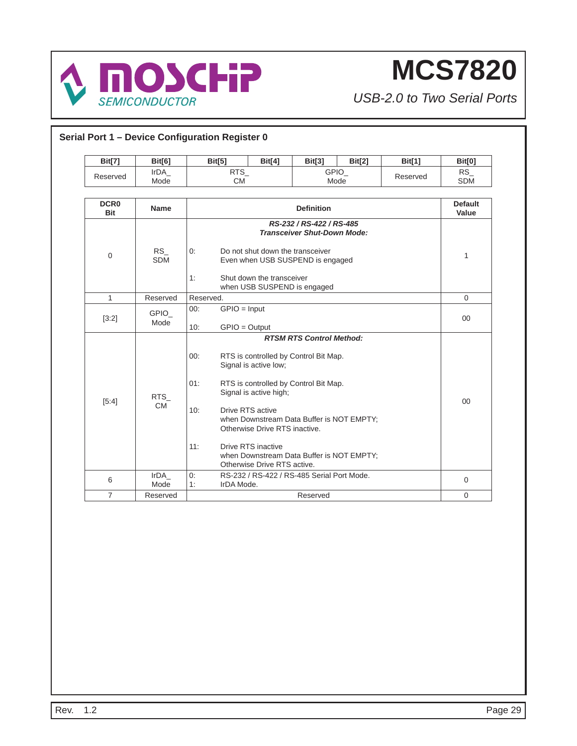

| <b>Bit[7]</b>             | <b>Bit[6]</b>           | Bit[5]                   | Bit[4]                                                                                                                                                                                             | Bit[3]                                                                                                                                                                                                      | Bit[2] | <b>Bit[1]</b> | <b>Bit[0]</b>           |
|---------------------------|-------------------------|--------------------------|----------------------------------------------------------------------------------------------------------------------------------------------------------------------------------------------------|-------------------------------------------------------------------------------------------------------------------------------------------------------------------------------------------------------------|--------|---------------|-------------------------|
| Reserved                  | IrDA<br>Mode            | $RTS_$<br><b>CM</b>      |                                                                                                                                                                                                    | GPIO_<br>Mode                                                                                                                                                                                               |        | Reserved      | $RS_{-}$<br><b>SDM</b>  |
| <b>DCR0</b><br><b>Bit</b> | <b>Name</b>             |                          |                                                                                                                                                                                                    | <b>Definition</b>                                                                                                                                                                                           |        |               | <b>Default</b><br>Value |
| 0                         | <b>RS</b><br><b>SDM</b> | 0:<br>1:                 | RS-232 / RS-422 / RS-485<br><b>Transceiver Shut-Down Mode:</b><br>Do not shut down the transceiver<br>Even when USB SUSPEND is engaged<br>Shut down the transceiver<br>when USB SUSPEND is engaged |                                                                                                                                                                                                             |        |               |                         |
| $\mathbf{1}$              | Reserved                | Reserved.                |                                                                                                                                                                                                    |                                                                                                                                                                                                             |        |               | $\Omega$                |
| $[3:2]$                   | <b>GPIO</b><br>Mode     | 00:<br>10:               | $GPIO = Input$<br>$GPIO = Output$                                                                                                                                                                  |                                                                                                                                                                                                             |        |               | 00                      |
| [5:4]                     | <b>RTS</b><br><b>CM</b> | 00:<br>01:<br>10:<br>11: | Signal is active low;<br>Signal is active high;<br>Drive RTS active<br>Otherwise Drive RTS inactive.<br>Drive RTS inactive<br>Otherwise Drive RTS active.                                          | <b>RTSM RTS Control Method:</b><br>RTS is controlled by Control Bit Map.<br>RTS is controlled by Control Bit Map.<br>when Downstream Data Buffer is NOT EMPTY;<br>when Downstream Data Buffer is NOT EMPTY; |        |               | 00                      |
| 6                         | IrDA<br>Mode            | 0:<br>1:                 |                                                                                                                                                                                                    | RS-232 / RS-422 / RS-485 Serial Port Mode.                                                                                                                                                                  |        |               | $\mathbf{0}$            |
| $\overline{7}$            | Reserved                |                          | IrDA Mode.<br>Reserved                                                                                                                                                                             |                                                                                                                                                                                                             |        |               |                         |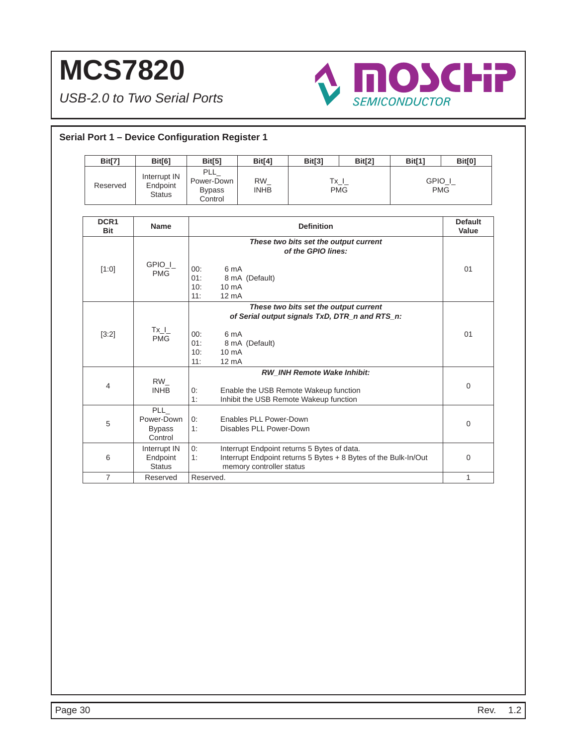

| <b>Bit[7]</b>      | <b>Bit[6]</b>                                        | <b>Bit[5]</b>                                                          | <b>Bit[4]</b>                                                                   | <b>Bit[3]</b>                                               | Bit[2]                                                          | <b>Bit[1]</b>        | <b>Bit[0]</b>           |
|--------------------|------------------------------------------------------|------------------------------------------------------------------------|---------------------------------------------------------------------------------|-------------------------------------------------------------|-----------------------------------------------------------------|----------------------|-------------------------|
| Reserved           | Interrupt IN<br>Endpoint<br><b>Status</b>            | <b>PLL</b><br>Power-Down<br><b>Bypass</b><br>Control                   | RW<br><b>INHB</b>                                                               |                                                             | $Tx_l$<br><b>PMG</b>                                            | GPIO I<br><b>PMG</b> |                         |
| DCR1<br><b>Bit</b> | <b>Name</b>                                          |                                                                        |                                                                                 | <b>Definition</b>                                           |                                                                 |                      | <b>Default</b><br>Value |
| [1:0]              | GPIO I<br><b>PMG</b>                                 | 6 mA<br>00:<br>01:<br>10:<br>$10 \text{ mA}$<br>11:<br>$12 \text{ mA}$ | 8 mA (Default)                                                                  | These two bits set the output current<br>of the GPIO lines: |                                                                 |                      | 01                      |
| [3:2]              | $Tx_l$<br><b>PMG</b>                                 | 6 mA<br>00:<br>01:<br>10:<br>$10 \text{ mA}$<br>11:<br>$12 \text{ mA}$ | 8 mA (Default)                                                                  | These two bits set the output current                       | of Serial output signals TxD, DTR n and RTS n:                  |                      | 01                      |
| 4                  | RW<br><b>INHB</b>                                    | 0:<br>1:                                                               | Enable the USB Remote Wakeup function<br>Inhibit the USB Remote Wakeup function | RW_INH Remote Wake Inhibit:                                 |                                                                 |                      | 0                       |
| 5                  | <b>PLL</b><br>Power-Down<br><b>Bypass</b><br>Control | 0:<br>1:                                                               | Enables PLL Power-Down<br>Disables PLL Power-Down                               |                                                             |                                                                 |                      | 0                       |
| 6                  | Interrupt IN<br>Endpoint<br><b>Status</b>            | 0:<br>1:                                                               | Interrupt Endpoint returns 5 Bytes of data.<br>memory controller status         |                                                             | Interrupt Endpoint returns 5 Bytes + 8 Bytes of the Bulk-In/Out |                      | $\mathbf{0}$            |
| $\overline{7}$     | Reserved                                             | Reserved.                                                              |                                                                                 |                                                             |                                                                 |                      | $\mathbf{1}$            |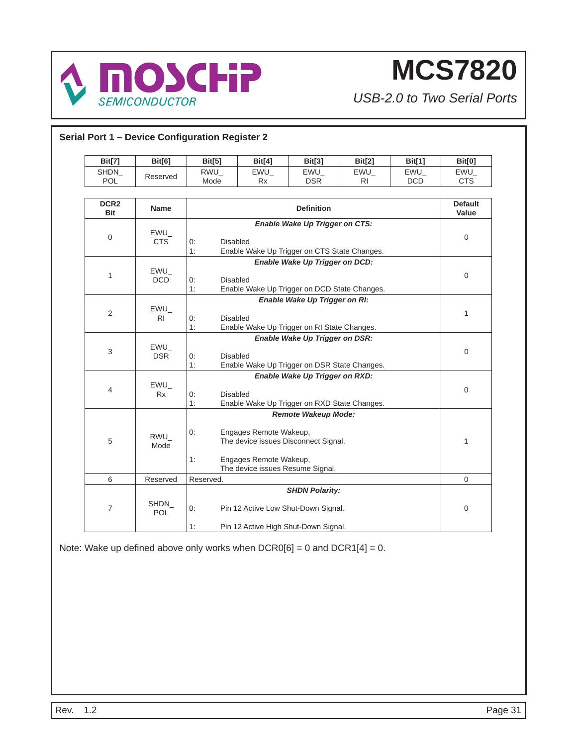

*USB-2.0 to Two Serial Ports*

| <b>Bit[7]</b>                  | <b>Bit[6]</b>        | <b>Bit[5]</b>               | <b>Bit[4]</b>                                                                                     | <b>Bit[3]</b>                                                                                        | <b>Bit[2]</b> | <b>Bit[1]</b>     | <b>Bit[0]</b>           |
|--------------------------------|----------------------|-----------------------------|---------------------------------------------------------------------------------------------------|------------------------------------------------------------------------------------------------------|---------------|-------------------|-------------------------|
| SHDN<br><b>POL</b>             | Reserved             | RWU<br>Mode                 | EWU<br>Rx                                                                                         | EWU<br><b>DSR</b>                                                                                    | EWU<br>RI.    | EWU<br><b>DCD</b> | EWU<br><b>CTS</b>       |
| DCR <sub>2</sub><br><b>Bit</b> | Name                 |                             |                                                                                                   | <b>Definition</b>                                                                                    |               |                   | <b>Default</b><br>Value |
| 0                              | $EWU_$<br><b>CTS</b> | 0:<br>1:                    | Enable Wake Up Trigger on CTS:<br><b>Disabled</b><br>Enable Wake Up Trigger on CTS State Changes. |                                                                                                      |               |                   |                         |
| $\mathbf{1}$                   | EWU<br>DCD           | 0:<br>1:                    | Enable Wake Up Trigger on DCD:<br><b>Disabled</b><br>Enable Wake Up Trigger on DCD State Changes. |                                                                                                      |               |                   |                         |
| 2                              | EWU<br>RI            | 0:<br>1:                    | Enable Wake Up Trigger on RI:<br><b>Disabled</b><br>Enable Wake Up Trigger on RI State Changes.   |                                                                                                      |               |                   | $\mathbf{1}$            |
| 3                              | $EWU_$<br><b>DSR</b> | <b>Disabled</b><br>0:<br>1: |                                                                                                   | Enable Wake Up Trigger on DSR:<br>Enable Wake Up Trigger on DSR State Changes.                       |               |                   | 0                       |
| 4                              | $EWU_$<br><b>Rx</b>  | <b>Disabled</b><br>0:<br>1: |                                                                                                   | Enable Wake Up Trigger on RXD:<br>Enable Wake Up Trigger on RXD State Changes.                       |               |                   | 0                       |
| 5                              | RWU_<br>Mode         | 0:<br>1:                    | Engages Remote Wakeup,<br>Engages Remote Wakeup,<br>The device issues Resume Signal.              | Remote Wakeup Mode:<br>The device issues Disconnect Signal.                                          |               |                   | 1                       |
| 6                              | Reserved             | Reserved.                   |                                                                                                   |                                                                                                      |               |                   | $\mathbf 0$             |
| $\overline{7}$                 | SHDN<br>POL          | 0:<br>1:                    |                                                                                                   | <b>SHDN Polarity:</b><br>Pin 12 Active Low Shut-Down Signal.<br>Pin 12 Active High Shut-Down Signal. |               |                   | 0                       |

Note: Wake up defined above only works when  $DCR0[6] = 0$  and  $DCR1[4] = 0$ .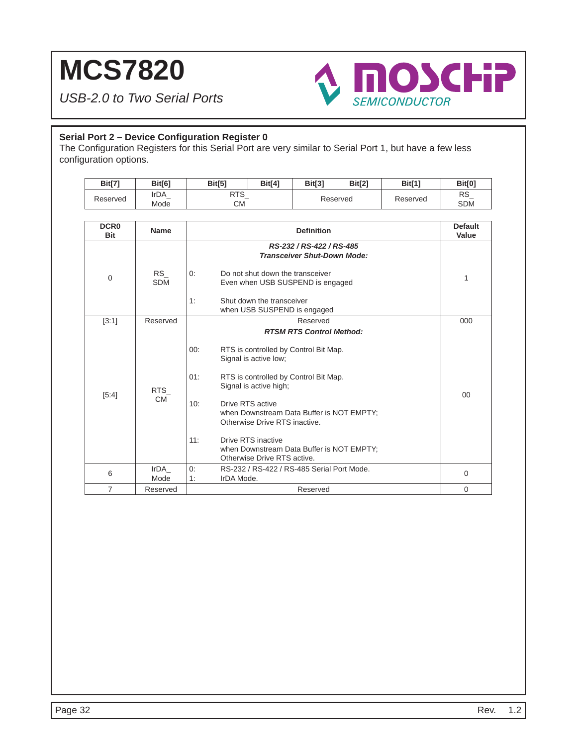*USB-2.0 to Two Serial Ports*



### **Serial Port 2 – Device Configuration Register 0**

The Configuration Registers for this Serial Port are very similar to Serial Port 1, but have a few less configuration options.

| Bit[7]                    | Bit[6]                  | Bit[5]                                                               | Bit[4]                                                                                                                                                                                                                                                                                                                                    | Bit[3]            | Bit[2] | Bit[1]   | <b>Bit[0]</b>           |  |
|---------------------------|-------------------------|----------------------------------------------------------------------|-------------------------------------------------------------------------------------------------------------------------------------------------------------------------------------------------------------------------------------------------------------------------------------------------------------------------------------------|-------------------|--------|----------|-------------------------|--|
| Reserved                  | IrDA<br>Mode            | <b>RTS</b><br><b>CM</b>                                              |                                                                                                                                                                                                                                                                                                                                           | Reserved          |        | Reserved | <b>RS</b><br><b>SDM</b> |  |
| <b>DCR0</b><br><b>Bit</b> | Name                    |                                                                      |                                                                                                                                                                                                                                                                                                                                           | <b>Definition</b> |        |          | <b>Default</b><br>Value |  |
| $\mathbf 0$               | <b>RS</b><br><b>SDM</b> | 0:<br>1:                                                             | RS-232 / RS-422 / RS-485<br><b>Transceiver Shut-Down Mode:</b><br>Do not shut down the transceiver<br>Even when USB SUSPEND is engaged<br>Shut down the transceiver<br>when USB SUSPEND is engaged                                                                                                                                        |                   |        |          |                         |  |
| [3:1]                     | Reserved                |                                                                      | Reserved                                                                                                                                                                                                                                                                                                                                  |                   |        |          |                         |  |
| [5:4]                     | <b>RTS</b><br><b>CM</b> | 00:<br>01:<br>10:<br>11:<br>Otherwise Drive RTS active.              | <b>RTSM RTS Control Method:</b><br>RTS is controlled by Control Bit Map.<br>Signal is active low;<br>RTS is controlled by Control Bit Map.<br>Signal is active high;<br>Drive RTS active<br>when Downstream Data Buffer is NOT EMPTY;<br>Otherwise Drive RTS inactive.<br>Drive RTS inactive<br>when Downstream Data Buffer is NOT EMPTY; |                   |        |          |                         |  |
| 6                         | IrDA<br>Mode            | RS-232 / RS-422 / RS-485 Serial Port Mode.<br>0:<br>IrDA Mode.<br>1: |                                                                                                                                                                                                                                                                                                                                           |                   |        | $\Omega$ |                         |  |
| $\overline{7}$            | Reserved                | Reserved                                                             |                                                                                                                                                                                                                                                                                                                                           |                   |        |          | $\Omega$                |  |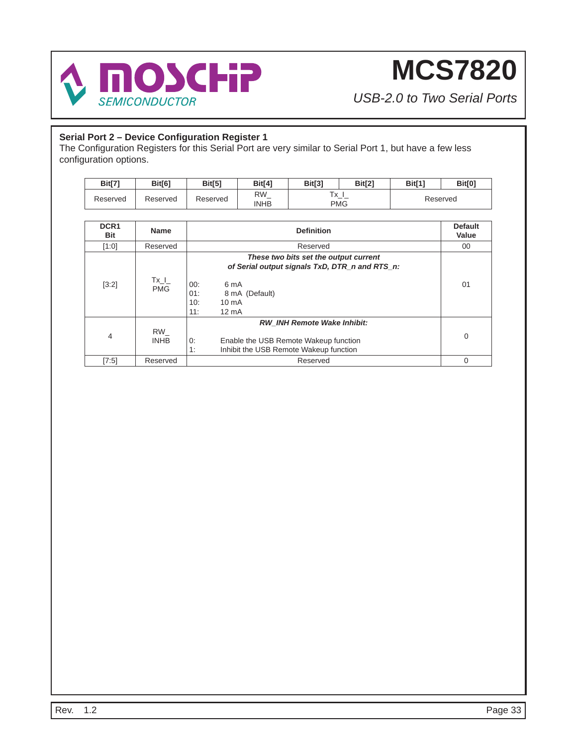

*USB-2.0 to Two Serial Ports*

### **Serial Port 2 – Device Configuration Register 1**

The Configuration Registers for this Serial Port are very similar to Serial Port 1, but have a few less configuration options.

| <b>Bit[7'</b> | <b>Bit[6]</b> | <b>Bit[5]</b> | Bit <sup>[4]</sup> | Bit[3]                                           | Bit[2] | Bit <sup>[1]</sup> | <b>Bit[0]</b> |
|---------------|---------------|---------------|--------------------|--------------------------------------------------|--------|--------------------|---------------|
| Reserved      | Reserved      | Reserved      | RW<br>INHB         | $\overline{\phantom{a}}$<br>$\sim$<br><b>PMG</b> |        |                    | Reserved      |

| DCR <sub>1</sub><br>Bit | <b>Name</b>             | <b>Definition</b>                                                                                                                 | <b>Default</b><br>Value |
|-------------------------|-------------------------|-----------------------------------------------------------------------------------------------------------------------------------|-------------------------|
| [1:0]                   | Reserved                | Reserved                                                                                                                          | 00                      |
|                         |                         | These two bits set the output current<br>of Serial output signals TxD, DTR n and RTS n:                                           |                         |
| [3:2]                   | $Tx_l$<br><b>PMG</b>    | 00:<br>6 mA<br>01:<br>8 mA (Default)<br>10:<br>10 <sub>m</sub> A<br>11:<br>$12 \text{ mA}$                                        | 01                      |
| $\overline{4}$          | $RW_{-}$<br><b>INHB</b> | <b>RW INH Remote Wake Inhibit:</b><br>0:<br>Enable the USB Remote Wakeup function<br>1:<br>Inhibit the USB Remote Wakeup function | $\mathbf 0$             |
| [7:5]                   | Reserved                | Reserved                                                                                                                          | 0                       |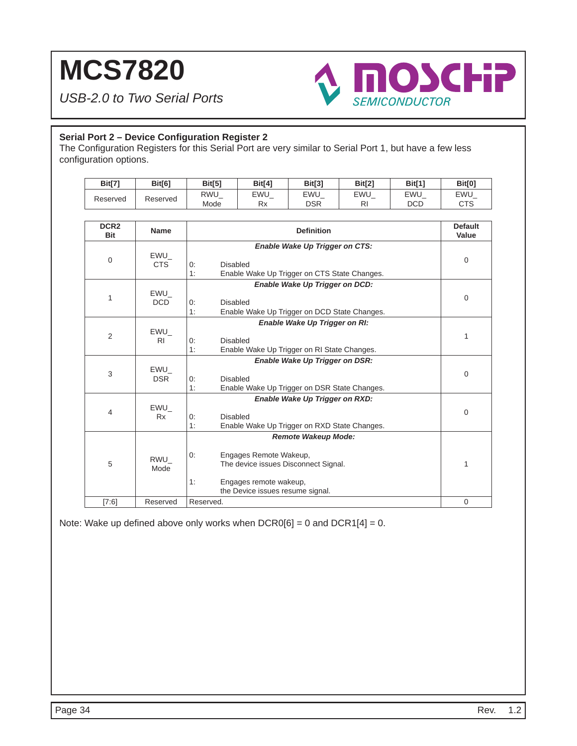*USB-2.0 to Two Serial Ports*



### **Serial Port 2 – Device Configuration Register 2**

The Configuration Registers for this Serial Port are very similar to Serial Port 1, but have a few less configuration options.

| <b>Bit[7]</b> | <b>Bit[6]</b> | <b>Bit[5]</b>      | Bit[4]    | <b>Bit[3]</b>     | <b>Bit[2]</b>    | <b>Bit[1]</b>            | <b>Bit[0]</b>     |
|---------------|---------------|--------------------|-----------|-------------------|------------------|--------------------------|-------------------|
| Reserved      | Reserved      | <b>RWU</b><br>Mode | EWU<br>Rx | EWU<br><b>DSR</b> | <b>EWU</b><br>RI | <b>EWU</b><br><b>DCD</b> | EWU<br><b>CTS</b> |
|               |               |                    |           |                   |                  |                          |                   |
| <b>DODS</b>   |               |                    |           |                   |                  |                          | $D - 2 - 14$      |

| DCR <sub>2</sub><br><b>Bit</b> | <b>Name</b>       | <b>Definition</b>                                                    | <b>Default</b><br>Value |
|--------------------------------|-------------------|----------------------------------------------------------------------|-------------------------|
|                                |                   | Enable Wake Up Trigger on CTS:                                       |                         |
| $\overline{0}$                 | EWU<br>CTS        | 0:<br>Disabled                                                       | 0                       |
|                                |                   | 1:<br>Enable Wake Up Trigger on CTS State Changes.                   |                         |
|                                |                   | Enable Wake Up Trigger on DCD:                                       |                         |
|                                | EWU               |                                                                      |                         |
| 1                              | <b>DCD</b>        | 0:<br><b>Disabled</b>                                                | 0                       |
|                                |                   | 1:<br>Enable Wake Up Trigger on DCD State Changes.                   |                         |
|                                |                   | Enable Wake Up Trigger on RI:                                        |                         |
| 2                              | EWU               |                                                                      | 1                       |
|                                | R <sub>I</sub>    | 0:<br>Disabled                                                       |                         |
|                                |                   | 1:<br>Enable Wake Up Trigger on RI State Changes.                    |                         |
|                                |                   | Enable Wake Up Trigger on DSR:                                       |                         |
| 3                              | EWU<br><b>DSR</b> | Disabled<br>0:                                                       | 0                       |
|                                |                   | 1:<br>Enable Wake Up Trigger on DSR State Changes.                   |                         |
|                                |                   | Enable Wake Up Trigger on RXD:                                       |                         |
|                                | EWU               |                                                                      |                         |
| 4                              | <b>Rx</b>         | Disabled<br>0:                                                       | $\mathbf 0$             |
|                                |                   | 1:<br>Enable Wake Up Trigger on RXD State Changes.                   |                         |
|                                |                   | <b>Remote Wakeup Mode:</b>                                           |                         |
|                                |                   |                                                                      |                         |
| 5                              | RWU               | 0:<br>Engages Remote Wakeup,<br>The device issues Disconnect Signal. | 1                       |
|                                | Mode              |                                                                      |                         |
|                                |                   | 1:<br>Engages remote wakeup,                                         |                         |
|                                |                   | the Device issues resume signal.                                     |                         |
| [7:6]                          | Reserved          | Reserved.                                                            | 0                       |

Note: Wake up defined above only works when  $DCR0[6] = 0$  and  $DCR1[4] = 0$ .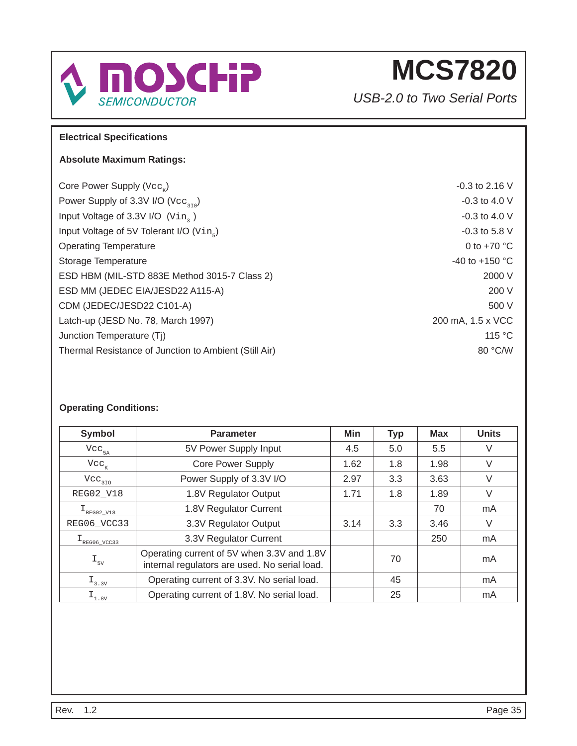

*USB-2.0 to Two Serial Ports*

### **Electrical Specifications**

### **Absolute Maximum Ratings:**

Core Power Supply  $(\forall c c_x)$  -0.3 to 2.16 V Power Supply of 3.3V I/O  $(\text{Vec}_{310})$ Input Voltage of 3.3V I/O  $(\text{vin}_3)$  -0.3 to 4.0 V Input Voltage of 5V Tolerant  $I/O$   $(Vin<sub>s</sub>)$   $-0.3$  to 5.8 V Operating Temperature 0 to +70 °C Storage Temperature  $-40$  to  $+150$  °C ESD HBM (MIL-STD 883E Method 3015-7 Class 2) 2000 V ESD MM (JEDEC EIA/JESD22 A115-A) 200 V CDM (JEDEC/JESD22 C101-A) 500 V Latch-up (JESD No. 78, March 1997) 200 mA, 1.5 x VCC Junction Temperature (Tj) 115 °C Thermal Resistance of Junction to Ambient (Still Air) 80 °C/W

### **Operating Conditions:**

| <b>Symbol</b>                        | <b>Parameter</b>                                                                            | Min  | <b>Typ</b> | <b>Max</b> | <b>Units</b> |
|--------------------------------------|---------------------------------------------------------------------------------------------|------|------------|------------|--------------|
| $\text{Vcc}_{\text{5A}}$             | 5V Power Supply Input                                                                       | 4.5  | 5.0        | 5.5        | V            |
| $Vcc_{K}$                            | <b>Core Power Supply</b>                                                                    | 1.62 | 1.8        | 1.98       | V            |
| $\text{Vcc}_{_{310}}$                | Power Supply of 3.3V I/O                                                                    | 2.97 | 3.3        | 3.63       | V            |
| REG02_V18                            | 1.8V Regulator Output                                                                       | 1.71 | 1.8        | 1.89       | V            |
| $I_{\text{REG02_V18}}$               | 1.8V Regulator Current                                                                      |      |            | 70         | mA           |
| REG06_VCC33                          | 3.3V Regulator Output                                                                       | 3.14 | 3.3        | 3.46       | V            |
| $\texttt{I}_{\texttt{REG06\_VCC33}}$ | 3.3V Regulator Current                                                                      |      |            | 250        | mA           |
| $I_{5V}$                             | Operating current of 5V when 3.3V and 1.8V<br>internal regulators are used. No serial load. |      | 70         |            | mA           |
| $I_{3.3V}$                           | Operating current of 3.3V. No serial load.                                                  |      | 45         |            | mA           |
| $I_{1.8V}$                           | Operating current of 1.8V. No serial load.                                                  |      | 25         |            | mA           |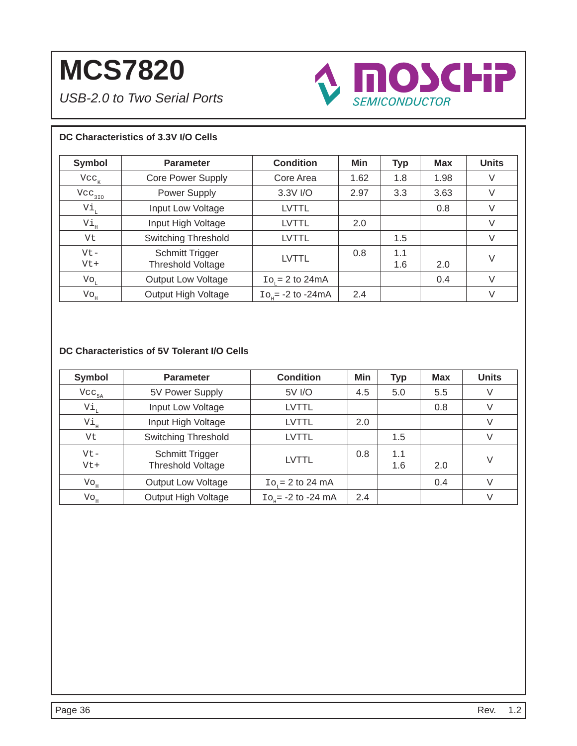*USB-2.0 to Two Serial Ports*



### **DC Characteristics of 3.3V I/O Cells**

| <b>Symbol</b>              | <b>Parameter</b>                                   | <b>Condition</b>               | Min  | <b>Typ</b> | <b>Max</b> | <b>Units</b> |
|----------------------------|----------------------------------------------------|--------------------------------|------|------------|------------|--------------|
| $Vcc_{K}$                  | <b>Core Power Supply</b>                           | Core Area                      | 1.62 | 1.8        | 1.98       | V            |
| Vcc <sub>310</sub>         | Power Supply                                       | 3.3V I/O                       | 2.97 | 3.3        | 3.63       | V            |
| Vi,                        | Input Low Voltage                                  | <b>LVTTL</b>                   |      |            | 0.8        | V            |
| Vi,                        | Input High Voltage                                 | <b>LVTTL</b>                   | 2.0  |            |            | V            |
| Vt                         | <b>Switching Threshold</b>                         | <b>LVTTL</b>                   |      | 1.5        |            | V            |
| $Vt -$<br>$Vt+$            | <b>Schmitt Trigger</b><br><b>Threshold Voltage</b> | <b>LVTTL</b>                   | 0.8  | 1.1<br>1.6 | 2.0        | V            |
| $\mathrm{Vo}_{\mathrm{L}}$ | Output Low Voltage                                 | $\text{Io}_{r} = 2$ to 24mA    |      |            | 0.4        | $\vee$       |
| $\mathrm{Vo}^{\mathrm{H}}$ | Output High Voltage                                | $\text{Io}_{10}$ = -2 to -24mA | 2.4  |            |            | $\vee$       |

### **DC Characteristics of 5V Tolerant I/O Cells**

| <b>Symbol</b>                 | <b>Parameter</b>                            | <b>Condition</b>                | Min | <b>Typ</b> | <b>Max</b> | <b>Units</b> |
|-------------------------------|---------------------------------------------|---------------------------------|-----|------------|------------|--------------|
| $Vec_{5A}$                    | 5V Power Supply                             | 5V I/O                          | 4.5 | 5.0        | 5.5        | V            |
| Vi <sub>ı</sub>               | Input Low Voltage                           | LVTTL                           |     |            | 0.8        | V            |
| Vi <sub>H</sub>               | Input High Voltage                          | LVTTL                           | 2.0 |            |            | V            |
| Vt                            | <b>Switching Threshold</b>                  | LVTTL                           |     | 1.5        |            | V            |
| $Vt -$<br>$Vt+$               | Schmitt Trigger<br><b>Threshold Voltage</b> | <b>LVTTL</b>                    | 0.8 | 1.1<br>1.6 | 2.0        | V            |
| $\mathrm{Vo}^{\mathrm{H}}$    | <b>Output Low Voltage</b>                   | $Ior = 2 to 24 mA$              |     |            | 0.4        | V            |
| $\mathrm{Vo}_{_{\mathrm{H}}}$ | Output High Voltage                         | $\text{Io}_{10}$ = -2 to -24 mA | 2.4 |            |            | V            |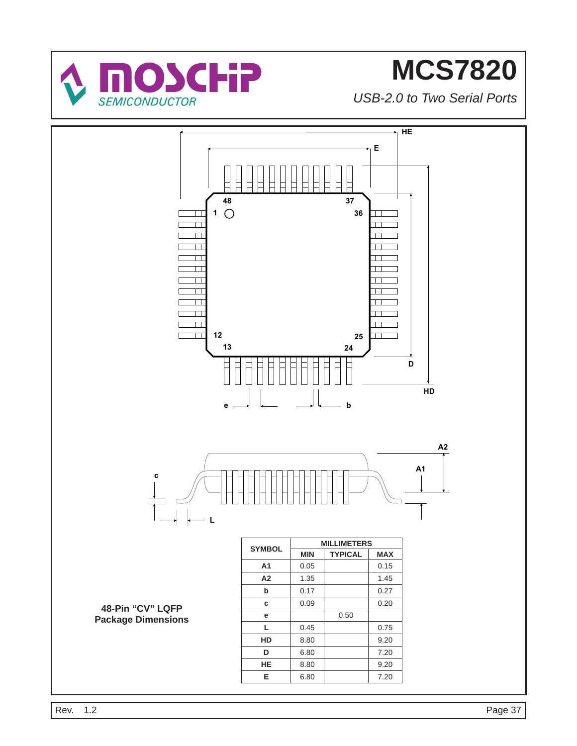

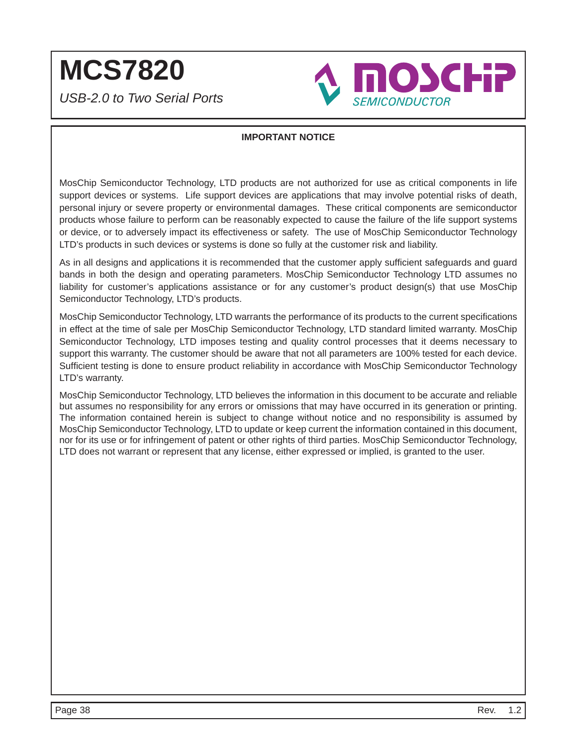**MCS7820** *USB-2.0 to Two Serial Ports*



### **IMPORTANT NOTICE**

MosChip Semiconductor Technology, LTD products are not authorized for use as critical components in life support devices or systems. Life support devices are applications that may involve potential risks of death, personal injury or severe property or environmental damages. These critical components are semiconductor products whose failure to perform can be reasonably expected to cause the failure of the life support systems or device, or to adversely impact its effectiveness or safety. The use of MosChip Semiconductor Technology LTD's products in such devices or systems is done so fully at the customer risk and liability.

As in all designs and applications it is recommended that the customer apply sufficient safeguards and guard bands in both the design and operating parameters. MosChip Semiconductor Technology LTD assumes no liability for customer's applications assistance or for any customer's product design(s) that use MosChip Semiconductor Technology, LTD's products.

MosChip Semiconductor Technology, LTD warrants the performance of its products to the current specifications in effect at the time of sale per MosChip Semiconductor Technology, LTD standard limited warranty. MosChip Semiconductor Technology, LTD imposes testing and quality control processes that it deems necessary to support this warranty. The customer should be aware that not all parameters are 100% tested for each device. Sufficient testing is done to ensure product reliability in accordance with MosChip Semiconductor Technology LTD's warranty.

MosChip Semiconductor Technology, LTD believes the information in this document to be accurate and reliable but assumes no responsibility for any errors or omissions that may have occurred in its generation or printing. The information contained herein is subject to change without notice and no responsibility is assumed by MosChip Semiconductor Technology, LTD to update or keep current the information contained in this document, nor for its use or for infringement of patent or other rights of third parties. MosChip Semiconductor Technology, LTD does not warrant or represent that any license, either expressed or implied, is granted to the user.